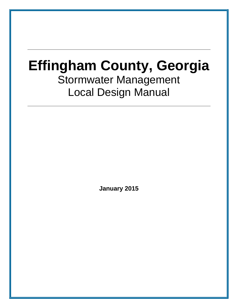# **Effingham County, Georgia**  Stormwater Management Local Design Manual

**January 2015**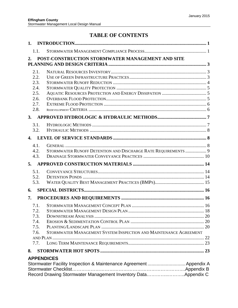# **TABLE OF CONTENTS**

| 1.           |                                                                    |  |
|--------------|--------------------------------------------------------------------|--|
| 1.1.         |                                                                    |  |
| 2.           | POST-CONSTRUCTION STORMWATER MANAGEMENT AND SITE                   |  |
|              |                                                                    |  |
| 2.1.         |                                                                    |  |
| 2.2.         |                                                                    |  |
| 2.3.         |                                                                    |  |
| 2.4.         |                                                                    |  |
| 2.5.<br>2.6. |                                                                    |  |
| 2.7.         |                                                                    |  |
| 2.8.         |                                                                    |  |
| 3.           |                                                                    |  |
| 3.1.         |                                                                    |  |
| 3.2.         |                                                                    |  |
| $\Delta$     |                                                                    |  |
|              |                                                                    |  |
| 4.1.         |                                                                    |  |
| 4.2.<br>4.3. | STORMWATER RUNOFF DETENTION AND DISCHARGE RATE REQUIREMENTS  9     |  |
|              |                                                                    |  |
| 5.           |                                                                    |  |
| 5.1.         |                                                                    |  |
| 5.2.<br>5.3. |                                                                    |  |
|              |                                                                    |  |
| 6.           |                                                                    |  |
| 7.           |                                                                    |  |
| 7.1.         |                                                                    |  |
| 7.2.         |                                                                    |  |
| 7.3.         |                                                                    |  |
| 7.4.         |                                                                    |  |
| 7.5.<br>7.6. | STORMWATER MANAGEMENT SYSTEM INSPECTION AND MAINTENANCE AGREEMENT  |  |
|              |                                                                    |  |
| 7.7.         |                                                                    |  |
| 8.           |                                                                    |  |
|              | <b>APPENDICES</b>                                                  |  |
|              | Stormwater Facility Inspection & Maintenance Agreement  Appendix A |  |
|              |                                                                    |  |
|              | Record Drawing Stormwater Management Inventory DataAppendix C      |  |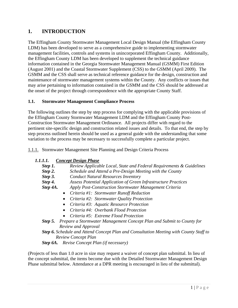# **1. INTRODUCTION**

The Effingham County Stormwater Management Local Design Manual (the Effingham County LDM) has been developed to serve as a comprehensive guide to implementing stormwater management facilities, controls and systems in unincorporated Effingham County. Additionally, the Effingham County LDM has been developed to supplement the technical guidance information contained in the Georgia Stormwater Management Manual (GSMM) First Edition (August 2001) and the Coastal Stormwater Supplement (CSS) to the GSMM (April 2009). The GSMM and the CSS shall serve as technical reference guidance for the design, construction and maintenance of stormwater management systems within the County. Any conflicts or issues that may arise pertaining to information contained in the GSMM and the CSS should be addressed at the onset of the project through correspondence with the appropriate County Staff.

#### **1.1. Stormwater Management Compliance Process**

The following outlines the step by step process for complying with the applicable provisions of the Effingham County Stormwater Management LDM and the Effingham County Post-Construction Stormwater Management Ordinance. All projects differ with regard to the pertinent site-specific design and construction related issues and details. To that end, the step by step process outlined herein should be used as a general guide with the understanding that some variation to the process may be necessary to successfully complete a particular project.

1.1.1. Stormwater Management Site Planning and Design Criteria Process

- *1.1.1.1. Concept Design Phase* 
	- *Step 1. Review Applicable Local, State and Federal Requirements & Guidelines*
	- *Step 2. Schedule and Attend a Pre-Design Meeting with the County*
	- *Step 3. Conduct Natural Resources Inventory*
	- *Step 4. Assess Potential Application of Green Infrastructure Practices*
	- *Step 4A. Apply Post-Construction Stormwater Management Criteria* 
		- *Criteria #1: Stormwater Runoff Reduction*
		- *Criteria #2: Stormwater Quality Protection*
		- *Criteria #3: Aquatic Resource Protection*
		- *Criteria #4: Overbank Flood Protection*
		- *Criteria #5: Extreme Flood Protection*
	- *Step 5. Prepare a Stormwater Management Concept Plan and Submit to County for Review and Approval*
	- *Step 6. Schedule and Attend Concept Plan and Consultation Meeting with County Staff to Review Concept Plan*
	- *Step 6A. Revise Concept Plan (if necessary)*

(Projects of less than 1.0 acre in size may request a waiver of concept plan submittal. In lieu of the concept submittal, the items become due with the Detailed Stormwater Management Design Phase submittal below. Attendance at a DPR meeting is encouraged in lieu of the submittal).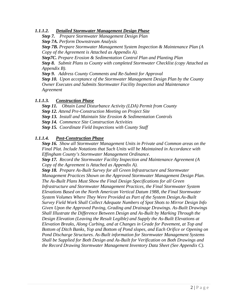#### *1.1.1.2. Detailed Stormwater Management Design Phase*

*Step 7. Prepare Stormwater Management Design Plan Step 7A. Perform Downstream Analysis Step 7B. Prepare Stormwater Management System Inspection & Maintenance Plan (A Copy of the Agreement is Attached as Appendix A).* 

*Step7C. Prepare Erosion & Sedimentation Control Plan and Planting Plan Step 8. Submit Plans to County with completed Stormwater Checklist (copy Attached as Appendix B).* 

*Step 9. Address County Comments and Re-Submit for Approval Step 10. Upon acceptance of the Stormwater Management Design Plan by the County Owner Executes and Submits Stormwater Facility Inspection and Maintenance Agreement* 

#### *1.1.1.3. Construction Phase*

*Step 11. Obtain Land Disturbance Activity (LDA) Permit from County Step 12. Attend Pre-Construction Meeting on Project Site* 

*Step 13. Install and Maintain Site Erosion & Sedimentation Controls* 

*Step 14. Commence Site Construction Activities* 

*Step 15. Coordinate Field Inspections with County Staff* 

#### *1.1.1.4. Post-Construction Phase*

*Step 16. Show all Stormwater Management Units in Private and Common areas on the Final Plat. Include Notations that Such Units will be Maintained in Accordance with Effingham County's Stormwater Management Ordinance.* 

*Step 17. Record the Stormwater Facility Inspection and Maintenance Agreement (A Copy of the Agreement is Attached as Appendix A).* 

*Step 18. Prepare As-Built Survey for all Green Infrastructure and Stormwater Management Practices Shown on the Approved Stormwater Management Design Plan. The As-Built Plans Must Show the Final Design Specifications for all Green Infrastructure and Stormwater Management Practices, the Final Stormwater System Elevations Based on the North American Vertical Datum 1988, the Final Stormwater System Volumes Where They Were Provided as Part of the System Design.As-Built Survey Field Work Shall Collect Adequate Numbers of Spot Shots to Mirror Design Info Given Upon the Approved Paving, Grading and Drainage Drawings. As-Built Drawings Shall Illustrate the Difference Between Design and As-Built by Marking Through the Design Elevation (Leaving the Result Legible) and Supply the As-Built Elevations at Elevation Breaks, Along Curbing, and at Changes in Grade for Pavement, at Top and Bottom of Ditch Banks, Yop and Bottom of Pond slopes, and Each Orifice or Opening on Pond Discharge Structures. As-Built information for Stormwater Management Systems Shall be Supplied for Both Design and As-Built for Verification on Both Drawings and the Record Drawing Stormwater Management Inventory Data Sheet (See Appendix C).*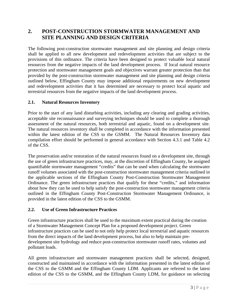## **2. POST-CONSTRUCTION STORMWATER MANAGEMENT AND SITE PLANNING AND DESIGN CRITERIA**

The following post-construction stormwater management and site planning and design criteria shall be applied to all new development and redevelopment activities that are subject to the provisions of this ordinance. The criteria have been designed to protect valuable local natural resources from the negative impacts of the land development process. If local natural resource protection and stormwater management goals and objectives warrant greater protection than that provided by the post-construction stormwater management and site planning and design criteria outlined below, Effingham County may impose additional requirements on new development and redevelopment activities that it has determined are necessary to protect local aquatic and terrestrial resources from the negative impacts of the land development process.

#### **2.1. Natural Resources Inventory**

Prior to the start of any land disturbing activities, including any clearing and grading activities, acceptable site reconnaissance and surveying techniques should be used to complete a thorough assessment of the natural resources, both terrestrial and aquatic, found on a development site. The natural resources inventory shall be completed in accordance with the information presented within the latest edition of the CSS to the GSMM. The Natural Resources Inventory data compilation effort should be performed in general accordance with Section 4.3.1 and Table 4.2 of the CSS.

The preservation and/or restoration of the natural resources found on a development site, through the use of green infrastructure practices, may, at the discretion of Effingham County, be assigned quantifiable stormwater management "credits" that can be used when calculating the stormwater runoff volumes associated with the post-construction stormwater management criteria outlined in the applicable sections of the Effingham County Post-Construction Stormwater Management Ordinance. The green infrastructure practices that qualify for these "credits," and information about how they can be used to help satisfy the post-construction stormwater management criteria outlined in the Effingham County Post-Construction Stormwater Management Ordinance, is provided in the latest edition of the CSS to the GSMM.

#### **2.2. Use of Green Infrastructure Practices**

Green infrastructure practices shall be used to the maximum extent practical during the creation of a Stormwater Management Concept Plan for a proposed development project. Green infrastructure practices can be used to not only help protect local terrestrial and aquatic resources from the direct impacts of the land development process, but also to help maintain predevelopment site hydrology and reduce post-construction stormwater runoff rates, volumes and pollutant loads.

All green infrastructure and stormwater management practices shall be selected, designed, constructed and maintained in accordance with the information presented in the latest edition of the CSS to the GSMM and the Effingham County LDM. Applicants are referred to the latest edition of the CSS to the GSMM, and the Effingham County LDM, for guidance on selecting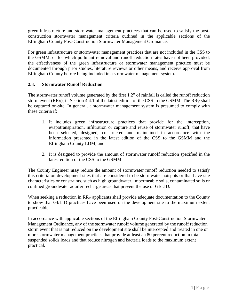green infrastructure and stormwater management practices that can be used to satisfy the postconstruction stormwater management criteria outlined in the applicable sections of the Effingham County Post-Construction Stormwater Management Ordinance.

For green infrastructure or stormwater management practices that are not included in the CSS to the GSMM, or for which pollutant removal and runoff reduction rates have not been provided, the effectiveness of the green infrastructure or stormwater management practice must be documented through prior studies, literature reviews or other means, and receive approval from Effingham County before being included in a stormwater management system.

#### **2.3. Stormwater Runoff Reduction**

The stormwater runoff volume generated by the first 1.2" of rainfall is called the runoff reduction storm event  $(RR_V)$ , in Section 4.4.1 of the latest edition of the CSS to the GSMM. The  $RR_V$  shall be captured on-site. In general, a stormwater management system is presumed to comply with these criteria if:

- 1. It includes green infrastructure practices that provide for the interception, evapotranspiration, infiltration or capture and reuse of stormwater runoff, that have been selected, designed, constructed and maintained in accordance with the information presented in the latest edition of the CSS to the GSMM and the Effingham County LDM; and
- 2. It is designed to provide the amount of stormwater runoff reduction specified in the latest edition of the CSS to the GSMM.

The County Engineer **may** reduce the amount of stormwater runoff reduction needed to satisfy this criteria on development sites that are considered to be stormwater hotspots or that have site characteristics or constraints, such as high groundwater, impermeable soils, contaminated soils or confined groundwater aquifer recharge areas that prevent the use of GI/LID.

When seeking a reduction in  $RR_V$  applicants shall provide adequate documentation to the County to show that GI/LID practices have been used on the development site to the maximum extent practicable.

In accordance with applicable sections of the Effingham County Post-Construction Stormwater Management Ordinance, any of the stormwater runoff volume generated by the runoff reduction storm event that is not reduced on the development site shall be intercepted and treated in one or more stormwater management practices that provide at least an 80 percent reduction in total suspended solids loads and that reduce nitrogen and bacteria loads to the maximum extent practical.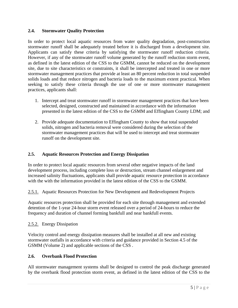#### **2.4. Stormwater Quality Protection**

In order to protect local aquatic resources from water quality degradation, post-construction stormwater runoff shall be adequately treated before it is discharged from a development site. Applicants can satisfy these criteria by satisfying the stormwater runoff reduction criteria. However, if any of the stormwater runoff volume generated by the runoff reduction storm event, as defined in the latest edition of the CSS to the GSMM, cannot be reduced on the development site, due to site characteristics or constraints, it shall be intercepted and treated in one or more stormwater management practices that provide at least an 80 percent reduction in total suspended solids loads and that reduce nitrogen and bacteria loads to the maximum extent practical. When seeking to satisfy these criteria through the use of one or more stormwater management practices, applicants shall:

- 1. Intercept and treat stormwater runoff in stormwater management practices that have been selected, designed, constructed and maintained in accordance with the information presented in the latest edition of the CSS to the GSMM and Effingham County LDM; and
- 2. Provide adequate documentation to Effingham County to show that total suspended solids, nitrogen and bacteria removal were considered during the selection of the stormwater management practices that will be used to intercept and treat stormwater runoff on the development site.

#### **2.5. Aquatic Resources Protection and Energy Dissipation**

In order to protect local aquatic resources from several other negative impacts of the land development process, including complete loss or destruction, stream channel enlargement and increased salinity fluctuations, applicants shall provide aquatic resource protection in accordance with the with the information provided in the latest edition of the CSS to the GSMM.

2.5.1. Aquatic Resources Protection for New Development and Redevelopment Projects

Aquatic resources protection shall be provided for each site through management and extended detention of the 1-year 24-hour storm event released over a period of 24-hours to reduce the frequency and duration of channel forming bankfull and near bankfull events.

#### 2.5.2. Energy Dissipation

Velocity control and energy dissipation measures shall be installed at all new and existing stormwater outfalls in accordance with criteria and guidance provided in Section 4.5 of the GSMM (Volume 2) and applicable sections of the CSS .

#### **2.6. Overbank Flood Protection**

All stormwater management systems shall be designed to control the peak discharge generated by the overbank flood protection storm event, as defined in the latest edition of the CSS to the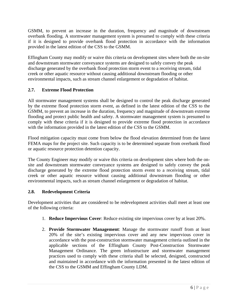GSMM, to prevent an increase in the duration, frequency and magnitude of downstream overbank flooding. A stormwater management system is presumed to comply with these criteria if it is designed to provide overbank flood protection in accordance with the information provided in the latest edition of the CSS to the GSMM.

Effingham County may modify or waive this criteria on development sites where both the on-site and downstream stormwater conveyance systems are designed to safely convey the peak discharge generated by the overbank flood protection storm event to a receiving stream, tidal creek or other aquatic resource without causing additional downstream flooding or other environmental impacts, such as stream channel enlargement or degradation of habitat.

#### **2.7. Extreme Flood Protection**

All stormwater management systems shall be designed to control the peak discharge generated by the extreme flood protection storm event, as defined in the latest edition of the CSS to the GSMM, to prevent an increase in the duration, frequency and magnitude of downstream extreme flooding and protect public health and safety. A stormwater management system is presumed to comply with these criteria if it is designed to provide extreme flood protection in accordance with the information provided in the latest edition of the CSS to the GSMM.

Flood mitigation capacity must come from below the flood elevation determined from the latest FEMA maps for the project site. Such capacity is to be determined separate from overbank flood or aquatic resource protection detention capacity.

The County Engineer may modify or waive this criteria on development sites where both the onsite and downstream stormwater conveyance systems are designed to safely convey the peak discharge generated by the extreme flood protection storm event to a receiving stream, tidal creek or other aquatic resource without causing additional downstream flooding or other environmental impacts, such as stream channel enlargement or degradation of habitat.

#### **2.8. Redevelopment Criteria**

Development activities that are considered to be redevelopment activities shall meet at least one of the following criteria:

- 1. **Reduce Impervious Cover**: Reduce existing site impervious cover by at least 20%.
- 2. **Provide Stormwater Management**: Manage the stormwater runoff from at least 20% of the site's existing impervious cover and any new impervious cover in accordance with the post-construction stormwater management criteria outlined in the applicable sections of the Effingham County Post-Construction Stormwater Management Ordinance. The green infrastructure and stormwater management practices used to comply with these criteria shall be selected, designed, constructed and maintained in accordance with the information presented in the latest edition of the CSS to the GSMM and Effingham County LDM.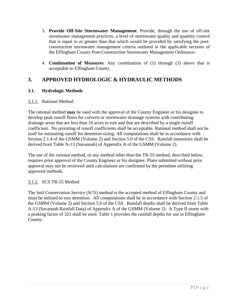- 3. **Provide Off-Site Stormwater Management**: Provide, through the use of off-site stormwater management practices, a level of stormwater quality and quantity control that is equal to or greater than that which would be provided by satisfying the postconstruction stormwater management criteria outlined in the applicable sections of the Effingham County Post-Construction Stormwater Management Ordinance.
- 4. **Combination of Measures**: Any combination of (1) through (3) above that is acceptable to Effingham County.

# **3. APPROVED HYDROLOGIC & HYDRAULIC METHODS**

#### **3.1. Hydrologic Methods**

#### 3.1.1. Rational Method

The rational method **may** be used with the approval of the County Engineer or his designee to develop peak runoff flows for culverts or stormwater drainage systems with contributing drainage areas that are less than 10 acres in size and that are described by a single runoff coefficient. No prorating of runoff coefficients shall be acceptable. Rational method shall not be used for estimating runoff for detention sizing. All computations shall be in accordance with Section 2.1.4 of the GSMM (Volume 2) and Section 5.0 of the CSS. Rainfall intensities shall be derived from Table A-13 (Savannah) of Appendix A of the GSMM (Volume 2).

The use of the rational method, or any method other than the TR-55 method, described below, requires prior approval of the County Engineer or his designee. Plans submitted without prior approval may not be reviewed until calculations are confirmed by the permittee utilizing approved methods.

#### 3.1.2. SCS TR-55 Method

The Soil Conservation Service (SCS) method is the accepted method of Effingham County and must be utilized to size detention. All computations shall be in accordance with Section 2.1.5 of the GSMM (Volume 2) and Section 5.0 of the CSS. Rainfall depths shall be derived from Table A-13 (Savannah Rainfall Data) of Appendix A of the GSMM (Volume 2). A Type II storm with a peaking factor of 323 shall be used. Table 1 provides the rainfall depths for use in Effingham County: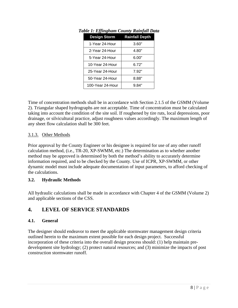| <b>Design Storm</b> | <b>Rainfall Depth</b> |  |  |
|---------------------|-----------------------|--|--|
| 1-Year 24-Hour      | 3.60"                 |  |  |
| 2-Year 24-Hour      | 4.80"                 |  |  |
| 5-Year 24-Hour      | 6.00"                 |  |  |
| 10-Year 24-Hour     | 6.72"                 |  |  |
| 25-Year 24-Hour     | 7.92"                 |  |  |
| 50-Year 24-Hour     | 8.88"                 |  |  |
| 100-Year 24-Hour    | 9.84"                 |  |  |

*Table 1: Effingham County Rainfall Data* 

Time of concentration methods shall be in accordance with Section 2.1.5 of the GSMM (Volume 2). Triangular shaped hydrographs are not acceptable. Time of concentration must be calculated taking into account the condition of the site soil. If roughened by tire ruts, local depressions, poor drainage, or silvicultural practice, adjust roughness values accordingly. The maximum length of any sheet flow calculation shall be 300 feet.

#### 3.1.3. Other Methods

Prior approval by the County Engineer or his designee is required for use of any other runoff calculation method, (i.e., TR-20, XP-SWMM, etc.) The determination as to whether another method may be approved is determined by both the method's ability to accurately determine information required, and to be checked by the County. Use of ICPR, XP-SWMM, or other dynamic model must include adequate documentation of input parameters, to afford checking of the calculations.

#### **3.2. Hydraulic Methods**

All hydraulic calculations shall be made in accordance with Chapter 4 of the GSMM (Volume 2) and applicable sections of the CSS.

#### **4. LEVEL OF SERVICE STANDARDS**

#### **4.1. General**

The designer should endeavor to meet the applicable stormwater management design criteria outlined herein to the maximum extent possible for each design project. Successful incorporation of these criteria into the overall design process should: (1) help maintain predevelopment site hydrology; (2) protect natural resources; and (3) minimize the impacts of post construction stormwater runoff.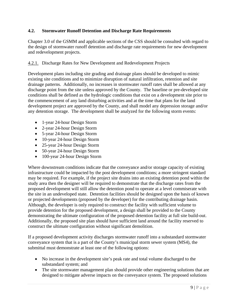#### **4.2. Stormwater Runoff Detention and Discharge Rate Requirements**

Chapter 3.0 of the GSMM and applicable sections of the CSS should be consulted with regard to the design of stormwater runoff detention and discharge rate requirements for new development and redevelopment projects.

#### 4.2.1. Discharge Rates for New Development and Redevelopment Projects

Development plans including site grading and drainage plans should be developed to mimic existing site conditions and to minimize disruption of natural infiltration, retention and site drainage patterns. Additionally, no increases in stormwater runoff rates shall be allowed at any discharge point from the site unless approved by the County. The baseline or pre-developed site conditions shall be defined as the hydrologic conditions that exist on a development site prior to the commencement of any land disturbing activities and at the time that plans for the land development project are approved by the County, and shall model any depression storage and/or any detention storage. The development shall be analyzed for the following storm events:

- 1-year 24-hour Design Storm
- 2-year 24-hour Design Storm
- 5-year 24-hour Design Storm
- 10-year 24-hour Design Storm
- 25-year 24-hour Design Storm
- 50-year 24-hour Design Storm
- 100-year 24-hour Design Storm

Where downstream conditions indicate that the conveyance and/or storage capacity of existing infrastructure could be impacted by the post development conditions; a more stringent standard may be required. For example, if the project site drains into an existing detention pond within the study area then the designer will be required to demonstrate that the discharge rates from the proposed development will still allow the detention pond to operate at a level commiserate with the site in an undeveloped state. Detention facilities should be designed upon the basis of known or projected developments (proposed by the developer) for the contributing drainage basin. Although, the developer is only required to construct the facility with sufficient volume to provide detention for the proposed development, a design shall be provided to the County demonstrating the ultimate configuration of the proposed detention facility at full site build-out. Additionally, the proposed site plan should have sufficient land around the facility reserved to construct the ultimate configuration without significant demolition.

If a proposed development activity discharges stormwater runoff into a substandard stormwater conveyance system that is a part of the County's municipal storm sewer system (MS4), the submittal must demonstrate at least one of the following options:

- No increase in the development site's peak rate and total volume discharged to the substandard system; and
- The site stormwater management plan should provide other engineering solutions that are designed to mitigate adverse impacts on the conveyance system. The proposed solutions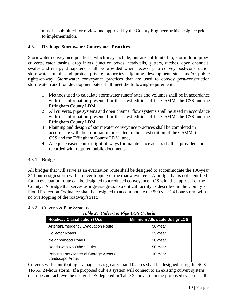must be submitted for review and approval by the County Engineer or his designee prior to implementation.

#### **4.3. Drainage Stormwater Conveyance Practices**

Stormwater conveyance practices, which may include, but are not limited to, storm drain pipes, culverts, catch basins, drop inlets, junction boxes, headwalls, gutters, ditches, open channels, swales and energy dissipaters, shall be provided when necessary to convey post-construction stormwater runoff and protect private properties adjoining development sites and/or public rights-of-way. Stormwater conveyance practices that are used to convey post-construction stormwater runoff on development sites shall meet the following requirements:

- 1. Methods used to calculate stormwater runoff rates and volumes shall be in accordance with the information presented in the latest edition of the GSMM, the CSS and the Effingham County LDM;
- 2. All culverts, pipe systems and open channel flow systems shall be sized in accordance with the information presented in the latest edition of the GSMM, the CSS and the Effingham County LDM;
- 3. Planning and design of stormwater conveyance practices shall be completed in accordance with the information presented in the latest edition of the GSMM, the CSS and the Effingham County LDM; and,
- 4. Adequate easements or right-of-ways for maintenance access shall be provided and recorded with required public documents.

#### 4.3.1. Bridges

All bridges that will serve as an evacuation route shall be designed to accommodate the 100-year 24-hour design storm with no over topping of the roadway/street. A bridge that is not identified for an evacuation route can be designed to a reduced conveyance LOS with the approval of the County. A bridge that serves as ingress/egress to a critical facility as described in the County's Flood Protection Ordinance shall be designed to accommodate the 500 year 24 hour storm with no overtopping of the roadway/street.

#### 4.3.2. Culverts & Pipe Systems

*Table 2: Culvert & Pipe LOS Criteria* 

| <b>Roadway Classification / Use</b>                        | <b>Minimum Allowable DesignLOS</b> |  |  |  |
|------------------------------------------------------------|------------------------------------|--|--|--|
| Arterial/Emergency Evacuation Route                        | 50-Year                            |  |  |  |
| <b>Collector Roads</b>                                     | 25-Year                            |  |  |  |
| Neighborhood Roads                                         | 10-Year                            |  |  |  |
| Roads with No Other Outlet                                 | 50-Year                            |  |  |  |
| Parking Lots / Material Storage Areas /<br>Landscape Areas | 10-Year                            |  |  |  |

Culverts with contributing drainage areas greater than 10 acres shall be designed using the SCS TR-55; 24-hour storm. If a proposed culvert system will connect to an existing culvert system that does not achieve the design LOS depicted in Table 2 above, then the proposed system shall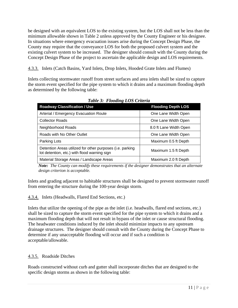be designed with an equivalent LOS to the existing system, but the LOS shall not be less than the minimum allowable shown in Table 2 unless approved by the County Engineer or his designee. In situations where emergency evacuation issues arise during the Concept Design Phase, the County may require that the conveyance LOS for both the proposed culvert system and the existing culvert system to be increased. The designer should consult with the County during the Concept Design Phase of the project to ascertain the applicable design and LOS requirements.

4.3.3. Inlets (Catch Basins, Yard Inlets, Drop Inlets, Hooded Grate Inlets and Flumes)

Inlets collecting stormwater runoff from street surfaces and area inlets shall be sized to capture the storm event specified for the pipe system to which it drains and a maximum flooding depth as determined by the following table:

| <b>Roadway Classification / Use</b>                                                                       | <b>Flooding Depth LOS</b> |  |  |
|-----------------------------------------------------------------------------------------------------------|---------------------------|--|--|
| Arterial / Emergency Evacuation Route                                                                     | One Lane Width Open       |  |  |
| <b>Collector Roads</b>                                                                                    | One Lane Width Open       |  |  |
| Neighborhood Roads                                                                                        | 8.0 ft Lane Width Open    |  |  |
| Roads with No Other Outlet                                                                                | One Lane Width Open       |  |  |
| Parking Lots                                                                                              | Maximum 0.5 ft Depth      |  |  |
| Detention Areas utilized for other purposes (i.e. parking<br>lot detention, etc.) with flood warning sign | Maximum 1.5 ft Depth      |  |  |
| Material Storage Areas / Landscape Areas                                                                  | Maximum 2.0 ft Depth      |  |  |

*Table 3: Flooding LOS Criteria*

*Note: The County can modify these requirements if the designer demonstrates that an alternate design criterion is acceptable.* 

Inlets and grading adjacent to habitable structures shall be designed to prevent stormwater runoff from entering the structure during the 100-year design storm.

4.3.4. Inlets (Headwalls, Flared End Sections, etc.)

Inlets that utilize the opening of the pipe as the inlet (i.e. headwalls, flared end sections, etc.) shall be sized to capture the storm event specified for the pipe system to which it drains and a maximum flooding depth that will not result in bypass of the inlet or cause structural flooding. The headwater conditions induced by the inlet should minimize impacts to any upstream drainage structures. The designer should consult with the County during the Concept Phase to determine if any unacceptable flooding will occur and if such a condition is acceptable/allowable.

#### 4.3.5. Roadside Ditches

Roads constructed without curb and gutter shall incorporate ditches that are designed to the specific design storms as shown in the following table: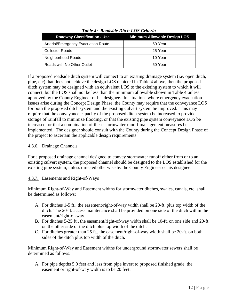| <b>Roadway Classification / Use</b> | <b>Minimum Allowable Design LOS</b> |  |  |  |
|-------------------------------------|-------------------------------------|--|--|--|
| Arterial/Emergency Evacuation Route | 50-Year                             |  |  |  |
| <b>Collector Roads</b>              | 25-Year                             |  |  |  |
| Neighborhood Roads                  | 10-Year                             |  |  |  |
| Roads with No Other Outlet          | 50-Year                             |  |  |  |

*Table 4: Roadside Ditch LOS Criteria*

If a proposed roadside ditch system will connect to an existing drainage system (i.e. open ditch, pipe, etc) that does not achieve the design LOS depicted in Table 4 above, then the proposed ditch system may be designed with an equivalent LOS to the existing system to which it will connect, but the LOS shall not be less than the minimum allowable shown in Table 4 unless approved by the County Engineer or his designee. In situations where emergency evacuation issues arise during the Concept Design Phase, the County may require that the conveyance LOS for both the proposed ditch system and the existing culvert system be improved. This may require that the conveyance capacity of the proposed ditch system be increased to provide storage of rainfall to minimize flooding, or that the existing pipe system conveyance LOS be increased, or that a combination of these stormwater runoff management measures be implemented. The designer should consult with the County during the Concept Design Phase of the project to ascertain the applicable design requirements.

#### 4.3.6. Drainage Channels

For a proposed drainage channel designed to convey stormwater runoff either from or to an existing culvert system, the proposed channel should be designed to the LOS established for the existing pipe system, unless directed otherwise by the County Engineer or his designee.

#### 4.3.7. Easements and Right-of-Ways

Minimum Right-of-Way and Easement widths for stormwater ditches, swales, canals, etc. shall be determined as follows:

- A. For ditches 1-5 ft., the easement/right-of-way width shall be 20-ft. plus top width of the ditch. The 20-ft. access maintenance shall be provided on one side of the ditch within the easement/right-of-way.
- B. For ditches 5-25 ft., the easement/right-of-way width shall be 10-ft. on one side and 20-ft. on the other side of the ditch plus top width of the ditch.
- C. For ditches greater than 25 ft., the easement/right-of-way width shall be 20-ft. on both sides of the ditch plus top width of the ditch.

Minimum Right-of-Way and Easement widths for underground stormwater sewers shall be determined as follows:

A. For pipe depths 5.0 feet and less from pipe invert to proposed finished grade, the easement or right-of-way width is to be 20 feet.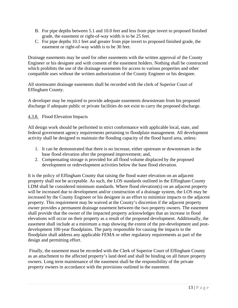- B. For pipe depths between 5.1 and 10.0 feet and less from pipe invert to proposed finished grade, the easement or right-of-way width is to be 25 feet.
- C. For pipe depths 10.1 feet and greater from pipe invert to proposed finished grade, the easement or right-of-way width is to be 30 feet.

Drainage easements may be used for other easements with the written approval of the County Engineer or his designee and with consent of the easement holders. Nothing shall be constructed which prohibits the use of the drainage easements for access to various properties and other compatible uses without the written authorization of the County Engineer or his designee.

All stormwater drainage easements shall be recorded with the clerk of Superior Court of Effingham County.

A developer may be required to provide adequate easements downstream from his proposed discharge if adequate public or private facilities do not exist to carry the proposed discharge.

#### 4.3.8. Flood Elevation Impacts

All design work should be performed in strict conformance with applicable local, state, and federal government agency requirements pertaining to floodplain management. All development activity shall be designed to maintain the flooding capacity of the flood hazrd area, unless:

- 1. It can be demonstrated that there is no increase, either upstream or downstream in the base flood elevation after the proposed improvement; and,
- 2. Compensating storage is provided for all flood volume displaced by the proposed development or redevelopment activities below the base flood elevation.

It is the policy of Effingham County that raising the flood water elevation on an adjacent property shall not be acceptable. As such, the LOS standards outlined in the Effingham County LDM shall be considered minimum standards. Where flood elevation(s) on an adjacent property will be increased due to development and/or construction of a drainage system, the LOS may be increased by the County Engineer or his designee in an effort to minimize impacts to the adjacent property. This requirement may be waived at the County's discretion if the adjacent property owner provides a permanent drainage easement between the two property owners. The easement shall provide that the owner of the impacted property acknowledges that an increase in flood elevations will occur on their property as a result of the proposed development. Additionally, the easement shall include at a minimum a map showing the extent of the pre-development and postdevelopment 100-year floodplains. The party responsible for causing the impacts to the floodplain shall address any applicable FEMA or other regulatory requirements as part of the design and permitting effort.

 Finally, the easement must be recorded with the Clerk of Superior Court of Effingham County as an attachment to the affected property's land deed and shall be binding on all future property owners. Long term maintenance of the easement shall be the responsibility of the private property owners in accordance with the provisions outlined in the easement.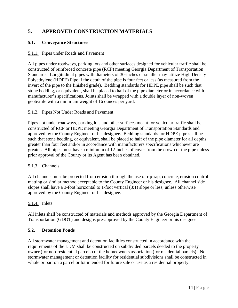# **5. APPROVED CONSTRUCTION MATERIALS**

#### **5.1. Conveyance Structures**

#### 5.1.1. Pipes under Roads and Pavement

All pipes under roadways, parking lots and other surfaces designed for vehicular traffic shall be constructed of reinforced concrete pipe (RCP) meeting Georgia Department of Transportation Standards. Longitudinal pipes with diameters of 30-inches or smaller may utilize High Density Polyethylene (HDPE) Pipe if the depth of the pipe is four feet or less (as measured from the invert of the pipe to the finished grade). Bedding standards for HDPE pipe shall be such that stone bedding, or equivalent, shall be placed to half of the pipe diameter or in accordance with manufacturer's specifications. Joints shall be wrapped with a double layer of non-woven geotextile with a minimum weight of 16 ounces per yard.

#### 5.1.2. Pipes Not Under Roads and Pavement

Pipes not under roadways, parking lots and other surfaces meant for vehicular traffic shall be constructed of RCP or HDPE meeting Georgia Department of Transportation Standards and approved by the County Engineer or his designee. Bedding standards for HDPE pipe shall be such that stone bedding, or equivalent, shall be placed to half of the pipe diameter for all depths greater than four feet and/or in accordance with manufacturers specifications whichever are greater. All pipes must have a minimum of 12-inches of cover from the crown of the pipe unless prior approval of the County or its Agent has been obtained.

#### 5.1.3. Channels

All channels must be protected from erosion through the use of rip-rap, concrete, erosion control matting or similar method acceptable to the County Engineer or his designee. All channel side slopes shall have a 3-foot horizontal to 1-foot vertical (3:1) slope or less, unless otherwise approved by the County Engineer or his designee.

#### 5.1.4. Inlets

All inlets shall be constructed of materials and methods approved by the Georgia Department of Transportation (GDOT) and designs pre-approved by the County Engineer or his designee.

#### **5.2. Detention Ponds**

All stormwater management and detention facilities constructed in accordance with the requirements of the LDM shall be constructed on subdivided parcels deeded to the property owner (for non-residential parcels) or the homeowners association (for residential parcels). No stormwater management or detention facility for residential subdivisions shall be constructed in whole or part on a parcel or lot intended for future sale or use as a residential property.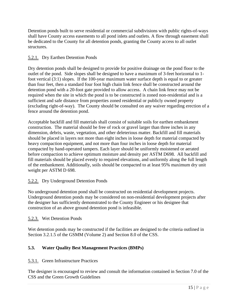Detention ponds built to serve residential or commercial subdivisions with public rights-of-ways shall have County access easements to all pond inlets and outlets. A flow through easement shall be dedicated to the County for all detention ponds, granting the County access to all outlet structures.

#### 5.2.1. Dry Earthen Detention Ponds

Dry detention ponds shall be designed to provide for positive drainage on the pond floor to the outlet of the pond. Side slopes shall be designed to have a maximum of 3-feet horizontal to 1 foot vertical (3:1) slopes. If the 100-year maximum water surface depth is equal to or greater than four feet, then a standard four foot high chain link fence shall be constructed around the detention pond with a 20-foot gate provided to allow access. A chain link fence may not be required when the site in which the pond is to be constructed is zoned non-residential and is a sufficient and safe distance from properties zoned residential or publicly owned property (excluding right-of-way). The County should be consulted on any waiver regarding erection of a fence around the detention pond.

Acceptable backfill and fill materials shall consist of suitable soils for earthen embankment construction. The material should be free of rock or gravel larger than three inches in any dimension, debris, waste, vegetation, and other deleterious matter. Backfill and fill materials should be placed in layers not more than eight inches in loose depth for material compacted by heavy compaction equipment, and not more than four inches in loose depth for material compacted by hand-operated tampers. Each layer should be uniformly moistened or aerated before compaction to achieve optimum moisture and density per ASTM D698. All backfill and fill materials should be placed evenly to required elevations, and uniformly along the full length of the embankment. Additionally, soils should be compacted to at least 95% maximum dry unit weight per ASTM D 698.

#### 5.2.2. Dry Underground Detention Ponds

No underground detention pond shall be constructed on residential development projects. Underground detention ponds may be considered on non-residential development projects after the designer has sufficiently demonstrated to the County Engineer or his designee that construction of an above ground detention pond is infeasible.

#### 5.2.3. Wet Detention Ponds

Wet detention ponds may be constructed if the facilities are designed to the criteria outlined in Section 3.2.1.5 of the GSMM (Volume 2) and Section 8.0 of the CSS.

#### **5.3. Water Quality Best Management Practices (BMPs)**

#### 5.3.1. Green Infrastructure Practices

The designer is encouraged to review and consult the information contained in Section 7.0 of the CSS and the Green Growth Guidelines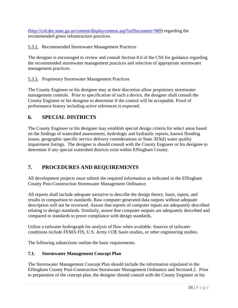(http://crd.dnr.state.ga.us/content/displaycontent.asp?txtDocument=969) regarding the recommended green infrastructure practices.

#### 5.3.2. Recommended Stormwater Management Practices

The designer is encouraged to review and consult Section 8.0 of the CSS for guidance regarding the recommended stormwater management practices and selection of appropriate stormwater management practices.

#### 5.3.3. Proprietary Stormwater Management Practices

The County Engineer or his designee may at their discretion allow proprietary stormwater management controls. Prior to specification of such a device, the designer shall consult the County Engineer or his designee to determine if the control will be acceptable. Proof of performance history including active references is expected.

# **6. SPECIAL DISTRICTS**

The County Engineer or his designee may establish special design criteria for select areas based on the findings of watershed assessments, hydrologic and hydraulic reports, known flooding issues, geographic specific service delivery considerations or State 303(d) water quality impairment listings. The designer is should consult with the County Engineer or his designee to determine if any special watershed districts exist within Effingham County.

# **7. PROCEDURES AND REQUIREMENTS**

All development projects must submit the required information as indicated in the Effingham County Post-Construction Stormwater Management Ordinance.

All reports shall include adequate narrative to describe the design theory, basis, inputs, and results in comparison to standards. Raw computer generated data outputs without adequate description will not be reviewed. Assure that reports of computer inputs are adequately described relating to design standards. Similarly, assure that computer outputs are adequately described and compared to standards to prove compliance with design standards.

Utilize a tailwater hydrograph for analysis of flow when available. Sources of tailwater conditions include FEMA FIS, U.S. Army COE basin studies, or other engineering studies.

The following subsections outline the basic requirements.

#### **7.1. Stormwater Management Concept Plan**

The Stormwater Management Concept Plan should include the information stipulated in the Effingham County Post-Construction Stormwater Management Ordinance and Section4.2. Prior to preparation of the concept plan, the designer should consult with the County Engineer or his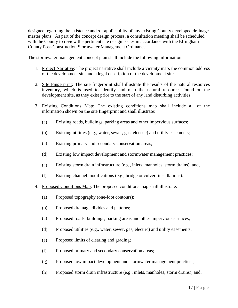designee regarding the existence and /or applicability of any existing County developed drainage master plans. As part of the concept design process, a consultation meeting shall be scheduled with the County to review the pertinent site design issues in accordance with the Effingham County Post-Construction Stormwater Management Ordinance.

The stormwater management concept plan shall include the following information:

- 1. Project Narrative: The project narrative shall include a vicinity map, the common address of the development site and a legal description of the development site.
- 2. Site Fingerprint: The site fingerprint shall illustrate the results of the natural resources inventory, which is used to identify and map the natural resources found on the development site, as they exist prior to the start of any land disturbing activities.
- 3. Existing Conditions Map: The existing conditions map shall include all of the information shown on the site fingerprint and shall illustrate:
	- (a) Existing roads, buildings, parking areas and other impervious surfaces;
	- (b) Existing utilities (e.g., water, sewer, gas, electric) and utility easements;
	- (c) Existing primary and secondary conservation areas;
	- (d) Existing low impact development and stormwater management practices;
	- (e) Existing storm drain infrastructure (e.g., inlets, manholes, storm drains); and,
	- (f) Existing channel modifications (e.g., bridge or culvert installations).
- 4. Proposed Conditions Map: The proposed conditions map shall illustrate:
	- (a) Proposed topography (one-foot contours);
	- (b) Proposed drainage divides and patterns;
	- (c) Proposed roads, buildings, parking areas and other impervious surfaces;
	- (d) Proposed utilities (e.g., water, sewer, gas, electric) and utility easements;
	- (e) Proposed limits of clearing and grading;
	- (f) Proposed primary and secondary conservation areas;
	- (g) Proposed low impact development and stormwater management practices;
	- (h) Proposed storm drain infrastructure (e.g., inlets, manholes, storm drains); and,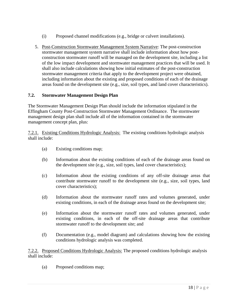- (i) Proposed channel modifications (e.g., bridge or culvert installations).
- 5. Post-Construction Stormwater Management System Narrative: The post-construction stormwater management system narrative shall include information about how postconstruction stormwater runoff will be managed on the development site, including a list of the low impact development and stormwater management practices that will be used. It shall also include calculations showing how initial estimates of the post-construction stormwater management criteria that apply to the development project were obtained, including information about the existing and proposed conditions of each of the drainage areas found on the development site (e.g., size, soil types, and land cover characteristics).

#### **7.2. Stormwater Management Design Plan**

The Stormwater Management Design Plan should include the information stipulated in the Effingham County Post-Construction Stormwater Management Ordinance. The stormwater management design plan shall include all of the information contained in the stormwater management concept plan, plus:

7.2.1. Existing Conditions Hydrologic Analysis: The existing conditions hydrologic analysis shall include:

- (a) Existing conditions map;
- (b) Information about the existing conditions of each of the drainage areas found on the development site (e.g., size, soil types, land cover characteristics);
- (c) Information about the existing conditions of any off-site drainage areas that contribute stormwater runoff to the development site (e.g., size, soil types, land cover characteristics);
- (d) Information about the stormwater runoff rates and volumes generated, under existing conditions, in each of the drainage areas found on the development site;
- (e) Information about the stormwater runoff rates and volumes generated, under existing conditions, in each of the off-site drainage areas that contribute stormwater runoff to the development site; and
- (f) Documentation (e.g., model diagram) and calculations showing how the existing conditions hydrologic analysis was completed.

7.2.2. Proposed Conditions Hydrologic Analysis: The proposed conditions hydrologic analysis shall include:

(a) Proposed conditions map;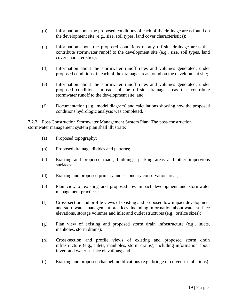- (b) Information about the proposed conditions of each of the drainage areas found on the development site (e.g., size, soil types, land cover characteristics);
- (c) Information about the proposed conditions of any off-site drainage areas that contribute stormwater runoff to the development site (e.g., size, soil types, land cover characteristics);
- (d) Information about the stormwater runoff rates and volumes generated, under proposed conditions, in each of the drainage areas found on the development site;
- (e) Information about the stormwater runoff rates and volumes generated, under proposed conditions, in each of the off-site drainage areas that contribute stormwater runoff to the development site; and
- (f) Documentation (e.g., model diagram) and calculations showing how the proposed conditions hydrologic analysis was completed.

7.2.3. Post-Construction Stormwater Management System Plan: The post-construction stormwater management system plan shall illustrate:

- (a) Proposed topography;
- (b) Proposed drainage divides and patterns;
- (c) Existing and proposed roads, buildings, parking areas and other impervious surfaces;
- (d) Existing and proposed primary and secondary conservation areas;
- (e) Plan view of existing and proposed low impact development and stormwater management practices;
- (f) Cross-section and profile views of existing and proposed low impact development and stormwater management practices, including information about water surface elevations, storage volumes and inlet and outlet structures (e.g., orifice sizes);
- (g) Plan view of existing and proposed storm drain infrastructure (e.g., inlets, manholes, storm drains);
- (h) Cross-section and profile views of existing and proposed storm drain infrastructure (e.g., inlets, manholes, storm drains), including information about invert and water surface elevations; and
- (i) Existing and proposed channel modifications (e.g., bridge or culvert installations).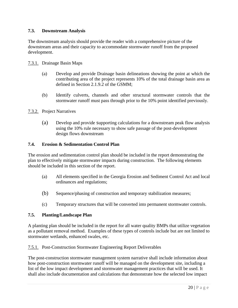#### **7.3. Downstream Analysis**

The downstream analysis should provide the reader with a comprehensive picture of the downstream areas and their capacity to accommodate stormwater runoff from the proposed development.

- 7.3.1. Drainage Basin Maps
	- (a) Develop and provide Drainage basin delineations showing the point at which the contributing area of the project represents 10% of the total drainage basin area as defined in Section 2.1.9.2 of the GSMM;
	- (b) Identify culverts, channels and other structural stormwater controls that the stormwater runoff must pass through prior to the 10% point identified previously.
- 7.3.2. Project Narratives
	- (a) Develop and provide supporting calculations for a downstream peak flow analysis using the 10% rule necessary to show safe passage of the post-development design flows downstream

#### **7.4. Erosion & Sedimentation Control Plan**

The erosion and sedimentation control plan should be included in the report demonstrating the plan to effectively mitigate stormwater impacts during construction. The following elements should be included in this section of the report.

- (a) All elements specified in the Georgia Erosion and Sediment Control Act and local ordinances and regulations;
- (b) Sequence/phasing of construction and temporary stabilization measures;
- (c) Temporary structures that will be converted into permanent stormwater controls.

#### **7.5. Planting/Landscape Plan**

A planting plan should be included in the report for all water quality BMPs that utilize vegetation as a pollutant removal method. Examples of these types of controls include but are not limited to stormwater wetlands, enhanced swales, etc.

#### 7.5.1. Post-Construction Stormwater Engineering Report Deliverables

The post-construction stormwater management system narrative shall include information about how post-construction stormwater runoff will be managed on the development site, including a list of the low impact development and stormwater management practices that will be used. It shall also include documentation and calculations that demonstrate how the selected low impact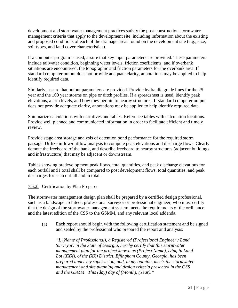development and stormwater management practices satisfy the post-construction stormwater management criteria that apply to the development site, including information about the existing and proposed conditions of each of the drainage areas found on the development site (e.g., size, soil types, and land cover characteristics).

If a computer program is used, assure that key input parameters are provided. These parameters include tailwater condition, beginning water levels, friction coefficients, and if overbank situations are encountered, the topographic and friction parameters for the overbank area. If standard computer output does not provide adequate clarity, annotations may be applied to help identify required data.

Similarly, assure that output parameters are provided. Provide hydraulic grade lines for the 25 year and the 100 year storms on pipe or ditch profiles. If a spreadsheet is used, identify peak elevations, alarm levels, and how they pertain to nearby structures. If standard computer output does not provide adequate clarity, annotations may be applied to help identify required data.

Summarize calculations with narratives and tables. Reference tables with calculation locations. Provide well planned and communicated information in order to facilitate efficient and timely review.

Provide stage area storage analysis of detention pond performance for the required storm passage. Utilize inflow/outflow analysis to compute peak elevations and discharge flows. Clearly demote the freeboard of the bank, and describe freeboard to nearby structures (adjacent buildings and infrastructure) that may be adjacent or downstream.

Tables showing predevelopment peak flows, total quantities, and peak discharge elevations for each outfall and I total shall be compared to post development flows, total quantities, and peak discharges for each outfall and in total.

#### 7.5.2. Certification by Plan Preparer

The stormwater management design plan shall be prepared by a certified design professional, such as a landscape architect, professional surveyor or professional engineer, who must certify that the design of the stormwater management system meets the requirements of the ordinance and the latest edition of the CSS to the GSMM, and any relevant local addenda.

(a) Each report should begin with the following certification statement and be signed and sealed by the professional who prepared the report and analysis:

*"I, (Name of Professional), a Registered (Professional Engineer / Land Surveyor) in the State of Georgia, hereby certify that this stormwater management plan for the project known as (Project Name), lying in Land Lot (XXX), of the (XX) District, Effingham County, Georgia, has been prepared under my supervision, and, in my opinion, meets the stormwater management and site planning and design criteria presented in the CSS and the GSMM. This (day) day of (Month), (Year)."*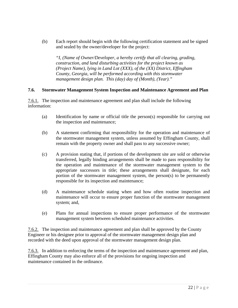(b) Each report should begin with the following certification statement and be signed and sealed by the owner/developer for the project:

*"I, (Name of Owner/Developer, a hereby certify that all clearing, grading, construction, and land disturbing activities for the project known as (Project Name), lying in Land Lot (XXX), of the (XX) District, Effingham County, Georgia, will be performed according with this stormwater management design plan. This (day) day of (Month), (Year)."* 

#### **7.6. Stormwater Management System Inspection and Maintenance Agreement and Plan**

7.6.1. The inspection and maintenance agreement and plan shall include the following information:

- (a) Identification by name or official title the person(s) responsible for carrying out the inspection and maintenance;
- (b) A statement confirming that responsibility for the operation and maintenance of the stormwater management system, unless assumed by Effingham County, shall remain with the property owner and shall pass to any successive owner;
- (c) A provision stating that, if portions of the development site are sold or otherwise transferred, legally binding arrangements shall be made to pass responsibility for the operation and maintenance of the stormwater management system to the appropriate successors in title; these arrangements shall designate, for each portion of the stormwater management system, the person(s) to be permanently responsible for its inspection and maintenance;
- (d) A maintenance schedule stating when and how often routine inspection and maintenance will occur to ensure proper function of the stormwater management system; and,
- (e) Plans for annual inspections to ensure proper performance of the stormwater management system between scheduled maintenance activities.

7.6.2. The inspection and maintenance agreement and plan shall be approved by the County Engineer or his designee prior to approval of the stormwater management design plan and recorded with the deed upon approval of the stormwater management design plan.

7.6.3. In addition to enforcing the terms of the inspection and maintenance agreement and plan, Effingham County may also enforce all of the provisions for ongoing inspection and maintenance contained in the ordinance.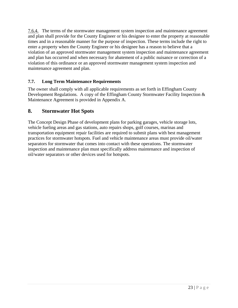7.6.4. The terms of the stormwater management system inspection and maintenance agreement and plan shall provide for the County Engineer or his designee to enter the property at reasonable times and in a reasonable manner for the purpose of inspection. These terms include the right to enter a property when the County Engineer or his designee has a reason to believe that a violation of an approved stormwater management system inspection and maintenance agreement and plan has occurred and when necessary for abatement of a public nuisance or correction of a violation of this ordinance or an approved stormwater management system inspection and maintenance agreement and plan.

#### **7.7. Long Term Maintenance Requirements**

The owner shall comply with all applicable requirements as set forth in Effingham County Development Regulations. A copy of the Effingham County Stormwater Facility Inspection & Maintenance Agreement is provided in Appendix A.

#### **8. Stormwater Hot Spots**

The Concept Design Phase of development plans for parking garages, vehicle storage lots, vehicle fueling areas and gas stations, auto repairs shops, golf courses, marinas and transportation equipment repair facilities are required to submit plans with best management practices for stormwater hotspots. Fuel and vehicle maintenance areas must provide oil/water separators for stormwater that comes into contact with these operations. The stormwater inspection and maintenance plan must specifically address maintenance and inspection of oil/water separators or other devices used for hotspots.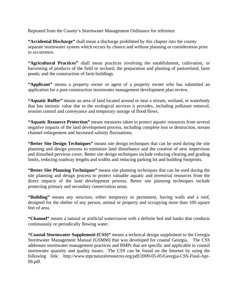Repeated from the County's Stormwater Management Ordinance for reference

**"Accidental Discharge"** shall mean a discharge prohibited by this chapter into the county separate stormwater system which occurs by chance and without planning or consideration prior to occurrence.

**"Agricultural Practices"** shall mean practices involving the establishment, cultivation, or harvesting of products of the field or orchard; the preparation and planting of pastureland, farm ponds; and the construction of farm buildings.

"Applicant" means a property owner or agent of a property owner who has submitted an application for a post-construction stormwater management development plan review.

**"Aquatic Buffer"** means an area of land located around or near a stream, wetland, or waterbody that has intrinsic value due to the ecological services it provides, including pollutant removal, erosion control and conveyance and temporary storage of flood flows.

**"Aquatic Resource Protection"** means measures taken to protect aquatic resources from several negative impacts of the land development process, including complete loss or destruction, stream channel enlargement and increased salinity fluctuations.

**"Better Site Design Techniques"** means site design techniques that can be used during the site planning and design process to minimize land disturbance and the creation of new impervious and disturbed pervious cover. Better site design techniques include reducing clearing and grading limits, reducing roadway lengths and widths and reducing parking lot and building footprints.

**"Better Site Planning Techniques"** means site planning techniques that can be used during the site planning and design process to protect valuable aquatic and terrestrial resources from the direct impacts of the land development process. Better site planning techniques include protecting primary and secondary conservation areas.

**"Building"** means any structure, either temporary or permanent, having walls and a roof, designed for the shelter of any person, animal or property and occupying more than 100 square feet of area.

**"Channel"** means a natural or artificial watercourse with a definite bed and banks that conducts continuously or periodically flowing water.

**"Coastal Stormwater Supplement (CSS)"** means a technical design supplement to the Georgia Stormwater Management Manual (GSMM) that was developed for coastal Georgia. The CSS addresses stormwater management practices and BMPs that are specific and applicable to coastal stormwater quantity and quality issues. The CSS can be found on the Internet by using the following link: http://www.mpcnaturalresources.org/pdf/2009-05-05/Georgia-CSS-Final-Apr-09.pdf.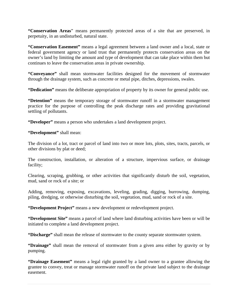**"Conservation Areas**" means permanently protected areas of a site that are preserved, in perpetuity, in an undisturbed, natural state.

**"Conservation Easement"** means a legal agreement between a land owner and a local, state or federal government agency or land trust that permanently protects conservation areas on the owner's land by limiting the amount and type of development that can take place within them but continues to leave the conservation areas in private ownership.

**"Conveyance"** shall mean stormwater facilities designed for the movement of stormwater through the drainage system, such as concrete or metal pipe, ditches, depressions, swales.

**"Dedication"** means the deliberate appropriation of property by its owner for general public use.

**"Detention"** means the temporary storage of stormwater runoff in a stormwater management practice for the purpose of controlling the peak discharge rates and providing gravitational settling of pollutants.

**"Developer"** means a person who undertakes a land development project.

**"Development"** shall mean:

The division of a lot, tract or parcel of land into two or more lots, plots, sites, tracts, parcels, or other divisions by plat or deed;

The construction, installation, or alteration of a structure, impervious surface, or drainage facility;

Clearing, scraping, grubbing, or other activities that significantly disturb the soil, vegetation, mud, sand or rock of a site; or

Adding, removing, exposing, excavations, leveling, grading, digging, burrowing, dumping, piling, dredging, or otherwise disturbing the soil, vegetation, mud, sand or rock of a site.

**"Development Project"** means a new development or redevelopment project.

**"Development Site"** means a parcel of land where land disturbing activities have been or will be initiated to complete a land development project.

**"Discharge"** shall mean the release of stormwater to the county separate stormwater system.

**"Drainage"** shall mean the removal of stormwater from a given area either by gravity or by pumping.

**"Drainage Easement"** means a legal right granted by a land owner to a grantee allowing the grantee to convey, treat or manage stormwater runoff on the private land subject to the drainage easement.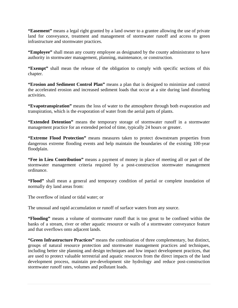**"Easement"** means a legal right granted by a land owner to a grantee allowing the use of private land for conveyance, treatment and management of stormwater runoff and access to green infrastructure and stormwater practices.

**"Employee"** shall mean any county employee as designated by the county administrator to have authority in stormwater management, planning, maintenance, or construction.

**"Exempt"** shall mean the release of the obligation to comply with specific sections of this chapter.

**"Erosion and Sediment Control Plan"** means a plan that is designed to minimize and control the accelerated erosion and increased sediment loads that occur at a site during land disturbing activities.

**"Evapotranspiration"** means the loss of water to the atmosphere through both evaporation and transpiration, which is the evaporation of water from the aerial parts of plants.

**"Extended Detention"** means the temporary storage of stormwater runoff in a stormwater management practice for an extended period of time, typically 24 hours or greater.

**"Extreme Flood Protection"** means measures taken to protect downstream properties from dangerous extreme flooding events and help maintain the boundaries of the existing 100-year floodplain.

**"Fee in Lieu Contribution"** means a payment of money in place of meeting all or part of the stormwater management criteria required by a post-construction stormwater management ordinance.

**"Flood"** shall mean a general and temporary condition of partial or complete inundation of normally dry land areas from:

The overflow of inland or tidal water; or

The unusual and rapid accumulation or runoff of surface waters from any source.

**"Flooding"** means a volume of stormwater runoff that is too great to be confined within the banks of a stream, river or other aquatic resource or walls of a stormwater conveyance feature and that overflows onto adjacent lands.

**"Green Infrastructure Practices"** means the combination of three complementary, but distinct, groups of natural resource protection and stormwater management practices and techniques, including better site planning and design techniques and low impact development practices, that are used to protect valuable terrestrial and aquatic resources from the direct impacts of the land development process, maintain pre-development site hydrology and reduce post-construction stormwater runoff rates, volumes and pollutant loads.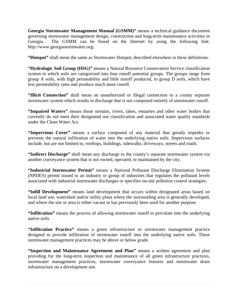**Georgia Stormwater Management Manual (GSMM)"** means a technical guidance document governing stormwater management design, construction and long-term maintenance activities in Georgia. The GSMM can be found on the Internet by using the following link: http://www.georgiastormwater.org/.

**"Hotspot"** shall mean the same as Stormwater Hotspot, described elsewhere in these definitions.

**"Hydrologic Soil Group (HSG)"** means a Natural Resource Conservation Service classification system in which soils are categorized into four runoff potential groups. The groups range from group A soils, with high permeability and little runoff produced, to group D soils, which have low permeability rates and produce much more runoff.

**"Illicit Connection"** shall mean an unauthorized or illegal connection to a county separate stormwater system which results in discharge that is not composed entirely of stormwater runoff.

**"Impaired Waters"** means those streams, rivers, lakes, estuaries and other water bodies that currently do not meet their designated use classification and associated water quality standards under the Clean Water Act.

**"Impervious Cover"** means a surface composed of any material that greatly impedes or prevents the natural infiltration of water into the underlying native soils. Impervious surfaces include, but are not limited to, rooftops, buildings, sidewalks, driveways, streets and roads.

**"Indirect Discharge"** shall mean any discharge to the county's separate stormwater system via another conveyance system that is not owned, operated, or maintained by the city.

**"Industrial Stormwater Permit"** means a National Pollutant Discharge Elimination System (NPDES) permit issued to an industry or group of industries that regulates the pollutant levels associated with industrial stormwater discharges or specifies on-site pollution control strategies.

**"Infill Development"** means land development that occurs within designated areas based on local land use, watershed and/or utility plans where the surrounding area is generally developed, and where the site or area is either vacant or has previously been used for another purpose.

**"Infiltration"** means the process of allowing stormwater runoff to percolate into the underlying native soils.

**"Infiltration Practice"** means a green infrastructure or stormwater management practice designed to provide infiltration of stormwater runoff into the underlying native soils. These stormwater management practices may be above or below grade.

**"Inspection and Maintenance Agreement and Plan"** means a written agreement and plan providing for the long-term inspection and maintenance of all green infrastructure practices, stormwater management practices, stormwater conveyance features and stormwater drain infrastructure on a development site.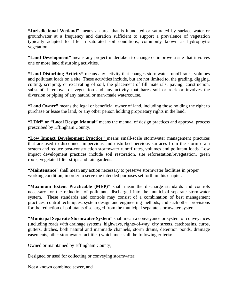**"Jurisdictional Wetland"** means an area that is inundated or saturated by surface water or groundwater at a frequency and duration sufficient to support a prevalence of vegetation typically adapted for life in saturated soil conditions, commonly known as hydrophytic vegetation.

**"Land Development"** means any project undertaken to change or improve a site that involves one or more land disturbing activities.

**"Land Disturbing Activity"** means any activity that changes stormwater runoff rates, volumes and pollutant loads on a site. These activities include, but are not limited to, the grading, digging, cutting, scraping, or excavating of soil, the placement of fill materials, paving, construction, substantial removal of vegetation and any activity that bares soil or rock or involves the diversion or piping of any natural or man-made watercourse.

**"Land Owner"** means the legal or beneficial owner of land, including those holding the right to purchase or lease the land, or any other person holding proprietary rights in the land.

**"LDM" or "Local Design Manual"** means the manual of design practices and approval process prescribed by Effingham County.

**"Low Impact Development Practice"** means small-scale stormwater management practices that are used to disconnect impervious and disturbed pervious surfaces from the storm drain system and reduce post-construction stormwater runoff rates, volumes and pollutant loads. Low impact development practices include soil restoration, site reforestation/revegetation, green roofs, vegetated filter strips and rain gardens.

**"Maintenance"** shall mean any action necessary to preserve stormwater facilities in proper working condition, in order to serve the intended purposes set forth in this chapter.

**"Maximum Extent Practicable (MEP)"** shall mean the discharge standards and controls necessary for the reduction of pollutants discharged into the municipal separate stormwater system. These standards and controls may consist of a combination of best management practices, control techniques, system design and engineering methods, and such other provisions for the reduction of pollutants discharged from the municipal separate stormwater system.

**"Municipal Separate Stormwater System"** shall mean a conveyance or system of conveyances (including roads with drainage systems, highways, rights-of-way, city streets, catchbasins, curbs, gutters, ditches, both natural and manmade channels, storm drains, detention ponds, drainage easements, other stormwater facilities) which meets all the following criteria:

Owned or maintained by Effingham County;

Designed or used for collecting or conveying stormwater;

Not a known combined sewer, and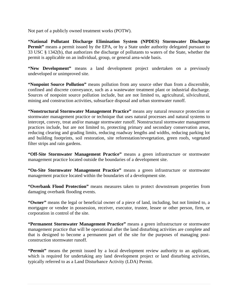Not part of a publicly owned treatment works (POTW).

**"National Pollutant Discharge Elimination System (NPDES) Stormwater Discharge Permit**" means a permit issued by the EPA, or by a State under authority delegated pursuant to 33 USC § 1342(b), that authorizes the discharge of pollutants to waters of the State, whether the permit is applicable on an individual, group, or general area-wide basis.

**"New Development"** means a land development project undertaken on a previously undeveloped or unimproved site.

**"Nonpoint Source Pollution"** means pollution from any source other than from a discernible, confined and discrete conveyance, such as a wastewater treatment plant or industrial discharge. Sources of nonpoint source pollution include, but are not limited to, agricultural, silvicultural, mining and construction activities, subsurface disposal and urban stormwater runoff.

**"Nonstructural Stormwater Management Practice"** means any natural resource protection or stormwater management practice or technique that uses natural processes and natural systems to intercept, convey, treat and/or manage stormwater runoff. Nonstructural stormwater management practices include, but are not limited to, protecting primary and secondary conservation areas, reducing clearing and grading limits, reducing roadway lengths and widths, reducing parking lot and building footprints, soil restoration, site reforestation/revegetation, green roofs, vegetated filter strips and rain gardens.

**"Off-Site Stormwater Management Practice"** means a green infrastructure or stormwater management practice located outside the boundaries of a development site.

**"On-Site Stormwater Management Practice"** means a green infrastructure or stormwater management practice located within the boundaries of a development site.

**"Overbank Flood Protection"** means measures taken to protect downstream properties from damaging overbank flooding events.

**"Owner"** means the legal or beneficial owner of a piece of land, including, but not limited to, a mortgagee or vendee in possession, receiver, executor, trustee, lessee or other person, firm, or corporation in control of the site.

**"Permanent Stormwater Management Practice"** means a green infrastructure or stormwater management practice that will be operational after the land disturbing activities are complete and that is designed to become a permanent part of the site for the purposes of managing postconstruction stormwater runoff.

**"Permit"** means the permit issued by a local development review authority to an applicant, which is required for undertaking any land development project or land disturbing activities, typically referred to as a Land Disturbance Activity (LDA) Permit.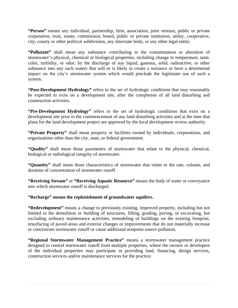**"Person"** means any individual, partnership, firm, association, joint venture, public or private corporation, trust, estate, commission, board, public or private institution, utility, cooperative, city, county or other political subdivision, any interstate body, or any other legal entity.

**"Pollutant"** shall mean any substance contributing to the contamination or alteration of stormwater's physical, chemical or biological properties, including change in temperature, taste, color, turbidity, or odor; by the discharge of nay liquid, gaseous, solid, radioactive, or other substance into any such waters that will or is likely to create a nuisance or have a detrimental impact on the city's stormwater system which would preclude the legitimate use of such a system.

**"Post-Development Hydrology"** refers to the set of hydrologic conditions that may reasonably be expected to exist on a development site, after the completion of all land disturbing and construction activities.

**"Pre-Development Hydrology"** refers to the set of hydrologic conditions that exist on a development site prior to the commencement of any land disturbing activities and at the time that plans for the land development project are approved by the local development review authority.

**"Private Property"** shall mean property or facilities owned by individuals, corporations, and organizations other than the city, state, or federal government.

**"Quality"** shall mean those parameters of stormwater that relate to the physical, chemical, biological or radiological integrity of stormwater.

**"Quantity"** shall mean those characteristics of stormwater that relate to the rate, volume, and duration of concentration of stormwater runoff.

**"Receiving Stream"** or **"Receiving Aquatic Resource"** means the body of water or conveyance into which stormwater runoff is discharged.

**"Recharge" means the replenishment of groundwater aquifers.** 

**"Redevelopment"** means a change to previously existing, improved property, including but not limited to the demolition or building of structures, filling, grading, paving, or excavating, but excluding ordinary maintenance activities, remodeling of buildings on the existing footprint, resurfacing of paved areas and exterior changes or improvements that do not materially increase or concentrate stormwater runoff or cause additional nonpoint source pollution.

**"Regional Stormwater Management Practice"** means a stormwater management practice designed to control stormwater runoff from multiple properties, where the owners or developers of the individual properties may participate in providing land, financing, design services, construction services and/or maintenance services for the practice.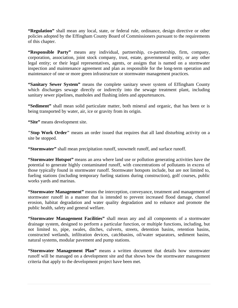**"Regulation"** shall mean any local, state, or federal rule, ordinance, design directive or other policies adopted by the Effingham County Board of Commissioners pursuant to the requirements of this chapter.

**"Responsible Party"** means any individual, partnership, co-partnership, firm, company, corporation, association, joint stock company, trust, estate, governmental entity, or any other legal entity; or their legal representatives, agents, or assigns that is named on a stormwater inspection and maintenance agreement and plan as responsible for the long-term operation and maintenance of one or more green infrastructure or stormwater management practices.

**"Sanitary Sewer System"** means the complete sanitary sewer system of Effingham County which discharges sewage directly or indirectly into the sewage treatment plant, including sanitary sewer pipelines, manholes and flushing inlets and appurtenances.

**"Sediment"** shall mean solid particulate matter, both mineral and organic, that has been or is being transported by water, air, ice or gravity from its origin.

**"Site"** means development site.

**"Stop Work Order"** means an order issued that requires that all land disturbing activity on a site be stopped.

**"Stormwater"** shall mean precipitation runoff, snowmelt runoff, and surface runoff.

**"Stormwater Hotspot"** means an area where land use or pollution generating activities have the potential to generate highly contaminated runoff, with concentrations of pollutants in excess of those typically found in stormwater runoff. Stormwater hotspots include, but are not limited to, fueling stations (including temporary fueling stations during construction), golf courses, public works yards and marinas.

**"Stormwater Management"** means the interception, conveyance, treatment and management of stormwater runoff in a manner that is intended to prevent increased flood damage, channel erosion, habitat degradation and water quality degradation and to enhance and promote the public health, safety and general welfare.

**"Stormwater Management Facilities"** shall mean any and all components of a stormwater drainage system, designed to perform a particular function, or multiple functions, including, but not limited to, pipe, swales, ditches, culverts, streets, detention basins, retention basins, constructed wetlands, infiltration devices, catchbasins, oil/water separators, sediment basins, natural systems, modular pavement and pump stations.

**"Stormwater Management Plan"** means a written document that details how stormwater runoff will be managed on a development site and that shows how the stormwater management criteria that apply to the development project have been met.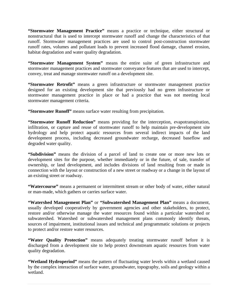**"Stormwater Management Practice"** means a practice or technique, either structural or nonstructural that is used to intercept stormwater runoff and change the characteristics of that runoff. Stormwater management practices are used to control post-construction stormwater runoff rates, volumes and pollutant loads to prevent increased flood damage, channel erosion, habitat degradation and water quality degradation.

**"Stormwater Management System"** means the entire suite of green infrastructure and stormwater management practices and stormwater conveyance features that are used to intercept, convey, treat and manage stormwater runoff on a development site.

**"Stormwater Retrofit"** means a green infrastructure or stormwater management practice designed for an existing development site that previously had no green infrastructure or stormwater management practice in place or had a practice that was not meeting local stormwater management criteria.

**"Stormwater Runoff"** means surface water resulting from precipitation.

**"Stormwater Runoff Reduction"** means providing for the interception, evapotranspiration, infiltration, or capture and reuse of stormwater runoff to help maintain pre-development site hydrology and help protect aquatic resources from several indirect impacts of the land development process, including decreased groundwater recharge, decreased baseflow and degraded water quality.

**"Subdivision"** means the division of a parcel of land to create one or more new lots or development sites for the purpose, whether immediately or in the future, of sale, transfer of ownership, or land development, and includes divisions of land resulting from or made in connection with the layout or construction of a new street or roadway or a change in the layout of an existing street or roadway.

**"Watercourse"** means a permanent or intermittent stream or other body of water, either natural or man-made, which gathers or carries surface water.

**"Watershed Management Plan"** or **"Subwatershed Management Plan"** means a document, usually developed cooperatively by government agencies and other stakeholders, to protect, restore and/or otherwise manage the water resources found within a particular watershed or subwatershed. Watershed or subwatershed management plans commonly identify threats, sources of impairment, institutional issues and technical and programmatic solutions or projects to protect and/or restore water resources.

**"Water Quality Protection"** means adequately treating stormwater runoff before it is discharged from a development site to help protect downstream aquatic resources from water quality degradation.

**"Wetland Hydroperiod"** means the pattern of fluctuating water levels within a wetland caused by the complex interaction of surface water, groundwater, topography, soils and geology within a wetland.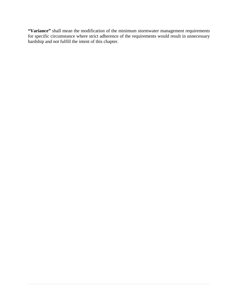**"Variance"** shall mean the modification of the minimum stormwater management requirements for specific circumstance where strict adherence of the requirements would result in unnecessary hardship and not fulfill the intent of this chapter.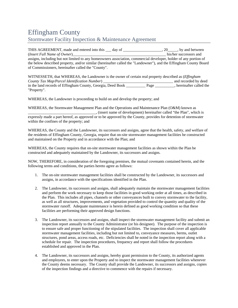# Effingham County Stormwater Facility Inspection & Maintenance Agreement

| THIS AGREEMENT, made and entered into this same day of successive and entered into this same day of               | $, 20$ , by and between |
|-------------------------------------------------------------------------------------------------------------------|-------------------------|
|                                                                                                                   | his/her successors and  |
| assigns, including but not limited to any homeowners association, commercial developer, holder of any portion of  |                         |
| the below described property, and/or similar (hereinafter called the "Landowner"), and the Effingham County Board |                         |
| of Commissioners, hereinafter called the "County".                                                                |                         |

| WITNESSETH, that WHEREAS, the Landowner is the owner of certain real property described as ( <i>Effingham</i> |      |                        |
|---------------------------------------------------------------------------------------------------------------|------|------------------------|
| County Tax Map/Parcel Identification Number)                                                                  |      | and recorded by deed   |
| in the land records of Effingham County, Georgia, Deed Book                                                   | Page | hereinafter called the |
| "Property".                                                                                                   |      |                        |

WHEREAS, the Landowner is proceeding to build on and develop the property; and

WHEREAS, the Stormwater Management Plan and the Operations and Maintenance Plan (O&M) known as \_\_\_\_\_\_\_\_\_\_\_\_\_\_\_\_\_\_\_\_\_\_\_\_\_\_\_\_\_\_\_\_\_\_\_, (insert name of development) hereinafter called "the Plan", which is expressly made a part hereof, as approved or to be approved by the County, provides for detention of stormwater within the confines of the property; and

WHEREAS, the County and the Landowner, its successors and assigns, agree that the health, safety, and welfare of the residents of Effingham County, Georgia, require that on-site stormwater management facilities be constructed and maintained on the Property and in accordance with the Plan; and

WHEREAS, the County requires that on-site stormwater management facilities as shown within the Plan be constructed and adequately maintained by the Landowner, its successors and assigns.

NOW, THEREFORE, in consideration of the foregoing premises, the mutual covenants contained herein, and the following terms and conditions, the parties hereto agree as follows:

- 1. The on-site stormwater management facilities shall be constructed by the Landowner, its successors and assigns, in accordance with the specifications identified in the Plan.
- 2. The Landowner, its successors and assigns, shall adequately maintain the stormwater management facilities and perform the work necessary to keep those facilities in good working order at all times, as described in the Plan. This includes all pipes, channels or other conveyances built to convey stormwater to the facility, as well as all structures, improvements, and vegetation provided to control the quantity and quality of the stormwater runoff. Adequate maintenance is herein defined as good working condition so that these facilities are performing their approved design functions.
- 3. The Landowner, its successors and assigns, shall inspect the stormwater management facility and submit an inspection report annually to the County Administrator (or his designee). The purpose of the inspection is to ensure safe and proper functioning of the stipulated facilities. The inspection shall cover all applicable stormwater management facilities, including but not limited to, conveyance measures, berms, outlet structures, pond areas, access roads, etc. Deficiencies shall be noted in the inspection report along with a schedule for repair. The inspection procedures, frequency and report shall follow the procedures established and approved in the Plan.
- 4. The Landowner, its successors and assigns, hereby grant permission to the County, its authorized agents and employees, to enter upon the Property and to inspect the stormwater management facilities whenever the County deems necessary. The County shall provide the Landowner, its successors and assigns, copies of the inspection findings and a directive to commence with the repairs if necessary.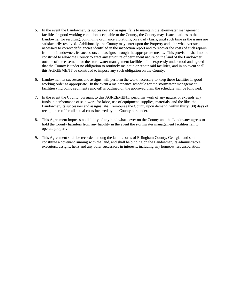- 5. In the event the Landowner, its successors and assigns, fails to maintain the stormwater management facilities in good working condition acceptable to the County, the County may issue citations to the Landowner for resulting, continuing ordinance violations, on a daily basis, until such time as the issues are satisfactorily resolved. Additionally, the County may enter upon the Property and take whatever steps necessary to correct deficiencies identified in the inspection report and to recover the costs of such repairs from the Landowner, its successors and assigns through the appropriate means. This provision shall not be construed to allow the County to erect any structure of permanent nature on the land of the Landowner outside of the easement for the stormwater management facilities. It is expressly understood and agreed that the County is under no obligation to routinely maintain or repair said facilities, and in no event shall this AGREEMENT be construed to impose any such obligation on the County.
- 6. Landowner, its successors and assigns, will perform the work necessary to keep these facilities in good working order as appropriate. In the event a maintenance schedule for the stormwater management facilities (including sediment removal) is outlined on the approved plan, the schedule will be followed.
- 7. In the event the County, pursuant to this AGREEMENT, performs work of any nature, or expends any funds in performance of said work for labor, use of equipment, supplies, materials, and the like, the Landowner, its successors and assigns, shall reimburse the County upon demand, within thirty (30) days of receipt thereof for all actual costs incurred by the County hereunder.
- 8. This Agreement imposes no liability of any kind whatsoever on the County and the Landowner agrees to hold the County harmless from any liability in the event the stormwater management facilities fail to operate properly.
- 9. This Agreement shall be recorded among the land records of Effingham County, Georgia, and shall constitute a covenant running with the land, and shall be binding on the Landowner, its administrators, executors, assigns, heirs and any other successors in interests, including any homeowners association.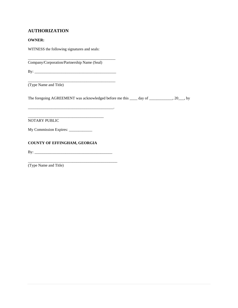#### **AUTHORIZATION**

#### **OWNER:**

WITNESS the following signatures and seals:

\_\_\_\_\_\_\_\_\_\_\_\_\_\_\_\_\_\_\_\_\_\_\_\_\_\_\_\_\_\_\_\_\_\_\_\_\_\_\_\_\_\_\_\_\_ Company/Corporation/Partnership Name (Seal)

By: \_\_\_\_\_\_\_\_\_\_\_\_\_\_\_\_\_\_\_\_\_\_\_\_\_\_\_\_\_\_\_\_\_\_\_\_\_\_\_\_\_\_

\_\_\_\_\_\_\_\_\_\_\_\_\_\_\_\_\_\_\_\_\_\_\_\_\_\_\_\_\_\_\_\_\_\_\_\_\_\_\_\_\_\_\_\_.

\_\_\_\_\_\_\_\_\_\_\_\_\_\_\_\_\_\_\_\_\_\_\_\_\_\_\_\_\_\_\_\_\_\_\_\_\_\_\_\_\_\_\_\_\_

\_\_\_\_\_\_\_\_\_\_\_\_\_\_\_\_\_\_\_\_\_\_\_\_\_\_\_\_\_\_\_\_\_\_\_\_\_\_\_

\_\_\_\_\_\_\_\_\_\_\_\_\_\_\_\_\_\_\_\_\_\_\_\_\_\_\_\_\_\_\_\_\_\_\_\_\_\_\_\_\_\_\_\_\_\_

(Type Name and Title)

The foregoing AGREEMENT was acknowledged before me this \_\_\_\_ day of \_\_\_\_\_\_\_\_\_\_, 20\_\_, by

NOTARY PUBLIC

My Commission Expires: \_\_\_\_\_\_\_\_\_\_\_\_

#### **COUNTY OF EFFINGHAM, GEORGIA**

 $\mathbf{B} \mathbf{y}$ :

(Type Name and Title)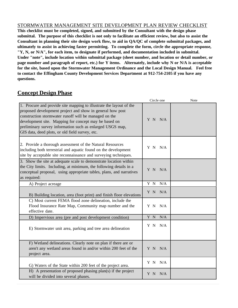#### STORMWATER MANAGEMENT SITE DEVELOPMENT PLAN REVIEW CHECKLIST

**This checklist must be completed, signed, and submitted by the Consultant with the design phase submittal. The purpose of this checklist is not only to facilitate an efficient review, but also to assist the Consultant in planning their site design work flow, to aid in QA/QC of complete submittal packages, and ultimately to assist in achieving faster permitting. To complete the form, circle the appropriate response, "Y, N, or N/A", for each item, to designate if performed, and documentation included in submittal. Under "note", include location within submittal package (sheet number, and location or detail number, or page number and paragraph of report, etc.) for Y items. Alternately, include why N or N/A is acceptable for the site, based upon the Stormwater Management Ordinance and the Local Design Manual. Feel free to contact the Effingham County Development Services Department at 912-754-2105 if you have any questions.**

### **Concept Design Phase**

|                                                                                                                                                                                                                                                                                                                                                                    | Circle one | <b>Note</b> |
|--------------------------------------------------------------------------------------------------------------------------------------------------------------------------------------------------------------------------------------------------------------------------------------------------------------------------------------------------------------------|------------|-------------|
| 1. Procure and provide site mapping to illustrate the layout of the<br>proposed development project and show in general how post<br>construction stormwater runoff will be managed on the<br>development site. Mapping for concept may be based on<br>preliminary survey information such as enlarged USGS map,<br>GIS data, deed plots, or old field survey, etc. | Y N N/A    |             |
| 2. Provide a thorough assessment of the Natural Resources<br>including both terrestrial and aquatic found on the development<br>site by acceptable site reconnaissance and surveying techniques.                                                                                                                                                                   | Y N N/A    |             |
| 3. Show the site at adequate scale to demonstrate location within<br>the City limits. Including, at minimum, the following details in a<br>conceptual proposal, using appropriate tables, plans, and narratives<br>as required:                                                                                                                                    | Y N N/A    |             |
| A) Project acreage                                                                                                                                                                                                                                                                                                                                                 | Y N<br>N/A |             |
| B) Building location, area (foot print) and finish floor elevations                                                                                                                                                                                                                                                                                                | Y N N/A    |             |
| C) Most current FEMA flood zone delineation, include the<br>Flood Insurance Rate Map, Community map number and the<br>effective date.                                                                                                                                                                                                                              | Y N<br>N/A |             |
| D) Impervious area (pre and post development condition)                                                                                                                                                                                                                                                                                                            | Y N<br>N/A |             |
| E) Stormwater unit area, parking and tree area delineation                                                                                                                                                                                                                                                                                                         | Y N N/A    |             |
| F) Wetland delineations. Clearly note on plan if there are or<br>aren't any wetland areas found in and/or within 200 feet of the<br>project area.                                                                                                                                                                                                                  | Y N N/A    |             |
| G) Waters of the State within 200 feet of the project area.                                                                                                                                                                                                                                                                                                        | Y N N/A    |             |
| H) A presentation of proposed phasing plan(s) if the project<br>will be divided into several phases.                                                                                                                                                                                                                                                               | N/A<br>Y N |             |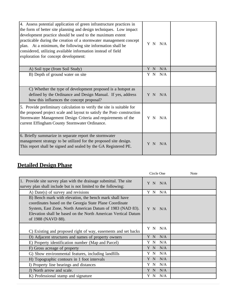| 4. Assess potential application of green infrastructure practices in<br>the form of better site planning and design techniques. Low impact<br>development practice should be used to the maximum extent<br>practicable during the creation of a stormwater management concept<br>plan. At a minimum, the following site information shall be<br>considered, utilizing available information instead of field<br>exploration for concept development: | Y N N/A    |  |
|------------------------------------------------------------------------------------------------------------------------------------------------------------------------------------------------------------------------------------------------------------------------------------------------------------------------------------------------------------------------------------------------------------------------------------------------------|------------|--|
| A) Soil type (from Soil Study)                                                                                                                                                                                                                                                                                                                                                                                                                       | Y N<br>N/A |  |
| B) Depth of ground water on site                                                                                                                                                                                                                                                                                                                                                                                                                     | Y N<br>N/A |  |
| C) Whether the type of development proposed is a hotspot as<br>defined by the Ordinance and Design Manual. If yes, address<br>how this influences the concept proposal?                                                                                                                                                                                                                                                                              | Y N N/A    |  |
| 5. Provide preliminary calculation to verify the site is suitable for<br>the proposed project scale and layout to satisfy the Post-construction<br>Stormwater Management Design Criteria and requirements of the<br>current Effingham County Stormwater Ordinance.                                                                                                                                                                                   | Y N N/A    |  |
| 6. Briefly summarize in separate report the stormwater<br>management strategy to be utilized for the proposed site design.<br>This report shall be signed and sealed by the GA Registered PE.                                                                                                                                                                                                                                                        | Y N<br>N/A |  |

# **Detailed Design Phase**

|                                                                                                                                                                                                                                                                        | Circle One | Note |
|------------------------------------------------------------------------------------------------------------------------------------------------------------------------------------------------------------------------------------------------------------------------|------------|------|
| 1. Provide site survey plan with the drainage submittal. The site<br>survey plan shall include but is not limited to the following:                                                                                                                                    | Y N N/A    |      |
| A) Date(s) of survey and revisions                                                                                                                                                                                                                                     | Y N<br>N/A |      |
| B) Bench mark with elevation, the bench mark shall have<br>coordinates based on the Georgia State Plane Coordinate<br>System, East Zone, North American Datum of 1983 (NAD 83).<br>Elevation shall be based on the North American Vertical Datum<br>of 1988 (NAVD 88). | Y N<br>N/A |      |
| C) Existing and proposed right of way, easements and set backs                                                                                                                                                                                                         | Y N<br>N/A |      |
| D) Adjacent structures and names of property owners                                                                                                                                                                                                                    | N/A<br>Y N |      |
| E) Property identification number (Map and Parcel)                                                                                                                                                                                                                     | Y N<br>N/A |      |
| F) Gross acreage of property                                                                                                                                                                                                                                           | Y N<br>N/A |      |
| G) Show environmental features, including landfills                                                                                                                                                                                                                    | Y N<br>N/A |      |
| H) Topographic contours in 1 foot intervals                                                                                                                                                                                                                            | Y N<br>N/A |      |
| I) Property line bearings and distances                                                                                                                                                                                                                                | Y N<br>N/A |      |
| J) North arrow and scale.                                                                                                                                                                                                                                              | Y N<br>N/A |      |
| K) Professional stamp and signature                                                                                                                                                                                                                                    | N/A<br>ΥN  |      |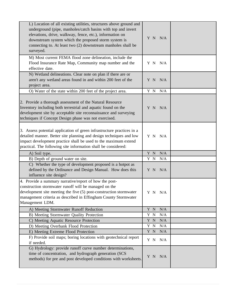| L) Location of all existing utilities, structures above ground and<br>underground (pipe, manholes/catch basins with top and invert<br>elevations, drive, walkway, fence, etc.), information on<br>downstream system which the proposed storm system is<br>connecting to. At least two (2) downstream manholes shall be<br>surveyed. | Y N N/A          |  |
|-------------------------------------------------------------------------------------------------------------------------------------------------------------------------------------------------------------------------------------------------------------------------------------------------------------------------------------|------------------|--|
| M) Most current FEMA flood zone delineation, include the<br>Flood Insurance Rate Map, Community map number and the<br>effective date.                                                                                                                                                                                               | Y N N/A          |  |
| N) Wetland delineations. Clear note on plan if there are or<br>aren't any wetland areas found in and within 200 feet of the<br>project area.                                                                                                                                                                                        | Y N N/A          |  |
| O) Water of the state within 200 feet of the project area.                                                                                                                                                                                                                                                                          | Y N<br>N/A       |  |
| 2. Provide a thorough assessment of the Natural Resource<br>Inventory including both terrestrial and aquatic found on the<br>development site by acceptable site reconnaissance and surveying<br>techniques if Concept Design phase was not exercised.                                                                              | Y N N/A          |  |
| 3. Assess potential application of green infrastructure practices in a<br>detailed manner. Better site planning and design techniques and low<br>impact development practice shall be used to the maximum extend<br>practical. The following site information shall be considered:                                                  | Y N N/A          |  |
| A) Soil type.                                                                                                                                                                                                                                                                                                                       | Y N<br>N/A       |  |
| B) Depth of ground water on site.                                                                                                                                                                                                                                                                                                   | Y N<br>N/A       |  |
| C) Whether the type of development proposed is a hotpot as<br>defined by the Ordinance and Design Manual. How does this<br>influence site design?                                                                                                                                                                                   | Y N<br>N/A       |  |
| 4. Provide a summary narrative/report of how the post-<br>construction stormwater runoff will be managed on the<br>development site meeting the five (5) post-construction stormwater<br>management criteria as described in Effingham County Stormwater<br>Management LDM.                                                         | Y N N/A          |  |
| A) Meeting Stormwater Runoff Reduction                                                                                                                                                                                                                                                                                              | Y N<br>N/A       |  |
| B) Meeting Stormwater Quality Protection                                                                                                                                                                                                                                                                                            | Y N<br>N/A       |  |
| C) Meeting Aquatic Resource Protection                                                                                                                                                                                                                                                                                              | Y N<br>N/A       |  |
| D) Meeting Overbank Flood Protection                                                                                                                                                                                                                                                                                                | Y N<br>$\rm N/A$ |  |
| E) Meeting Extreme Flood Protection                                                                                                                                                                                                                                                                                                 | Y N<br>$\rm N/A$ |  |
| F) Provide soil maps; boring locations with geotechnical report<br>if needed.                                                                                                                                                                                                                                                       | N/A<br>Y N       |  |
| G) Hydrology: provide runoff curve number determinations,<br>time of concentration, and hydrograph generation (SCS<br>methods) for pre and post developed conditions with worksheets.                                                                                                                                               | Y N N/A          |  |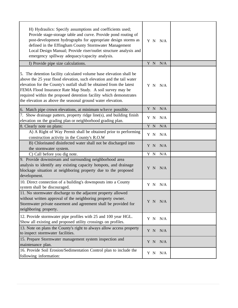| H) Hydraulics: Specify assumptions and coefficients used;<br>Provide stage-storage table and curve. Provide pond routing of<br>post-development hydrographs for appropriate design storms as<br>defined in the Effingham County Stormwater Management<br>Local Design Manual; Provide riser/outlet structure analysis and<br>emergency spillway adequacy/capacity analysis.                                           | Y N N/A    |  |
|-----------------------------------------------------------------------------------------------------------------------------------------------------------------------------------------------------------------------------------------------------------------------------------------------------------------------------------------------------------------------------------------------------------------------|------------|--|
| I) Provide pipe size calculations.                                                                                                                                                                                                                                                                                                                                                                                    | Y N<br>N/A |  |
| 5. The detention facility calculated volume base elevation shall be<br>above the 25 year flood elevation, such elevation and the tail water<br>elevation for the County's outfall shall be obtained from the latest<br>FEMA Flood Insurance Rate Map Study. A soil survey may be<br>required within the proposed detention facility which demonstrates<br>the elevation as above the seasonal ground water elevation. | Y N N/A    |  |
| 6. Match pipe crown elevations, at minimum where possible.                                                                                                                                                                                                                                                                                                                                                            | Y N<br>N/A |  |
| 7. Show drainage pattern, property ridge line(s), and building finish<br>elevation on the grading plan or neighborhood grading plan.                                                                                                                                                                                                                                                                                  | N/A<br>Y N |  |
| 8. Clearly note on plans:                                                                                                                                                                                                                                                                                                                                                                                             | Y N<br>N/A |  |
| A) A Right of Way Permit shall be obtained prior to performing<br>construction activity in the County's R.O.W                                                                                                                                                                                                                                                                                                         | Y N N/A    |  |
| B) Chlorinated disinfected water shall not be discharged into<br>the stormwater system.                                                                                                                                                                                                                                                                                                                               | Y N<br>N/A |  |
| C) Call before you dig note.                                                                                                                                                                                                                                                                                                                                                                                          | Y N<br>N/A |  |
| 9. Provide downstream and surrounding neighborhood area<br>analysis to identify any existing capacity hotspots, and drainage<br>blockage situation at neighboring property due to the proposed<br>development.                                                                                                                                                                                                        | N/A<br>Y N |  |
| 10. Direct connection of a building's downspouts into a County<br>system shall be discouraged.                                                                                                                                                                                                                                                                                                                        | Y N<br>N/A |  |
| 11. No stormwater discharge to the adjacent property allowed<br>without written approval of the neighboring property owner.<br>Stormwater private easement and agreement shall be provided for<br>neighboring property.                                                                                                                                                                                               | Y N N/A    |  |
| 12. Provide stormwater pipe profiles with 25 and 100 year HGL.<br>Show all existing and proposed utility crossings on profiles.                                                                                                                                                                                                                                                                                       | Y N N/A    |  |
| 13. Note on plans the County's right to always allow access property<br>to inspect stormwater facilities.                                                                                                                                                                                                                                                                                                             | Y N<br>N/A |  |
| 15. Prepare Stormwater management system inspection and<br>maintenance plan.                                                                                                                                                                                                                                                                                                                                          | N/A<br>Y N |  |
| 16. Provide Soil Erosion/Sedimentation Control plan to include the<br>following information:                                                                                                                                                                                                                                                                                                                          | Y N<br>N/A |  |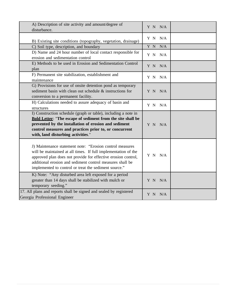| A) Description of site activity and amount/degree of<br>disturbance.                                                                                                                                                                                                                                              | Y N N/A     |  |
|-------------------------------------------------------------------------------------------------------------------------------------------------------------------------------------------------------------------------------------------------------------------------------------------------------------------|-------------|--|
| B) Existing site conditions (topography, vegetation, drainage)                                                                                                                                                                                                                                                    | Y N N/A     |  |
| C) Soil type, description, and boundary                                                                                                                                                                                                                                                                           | Y N<br>N/A  |  |
| D) Name and 24 hour number of local contact responsible for<br>erosion and sedimentation control                                                                                                                                                                                                                  | Y N N/A     |  |
| E) Methods to be used in Erosion and Sedimentation Control<br>plan                                                                                                                                                                                                                                                | $Y$ N $N/A$ |  |
| F) Permanent site stabilization, establishment and<br>maintenance                                                                                                                                                                                                                                                 | Y N N/A     |  |
| G) Provisions for use of onsite detention pond as temporary<br>sediment basin with clean out schedule & instructions for<br>conversion to a permanent facility.                                                                                                                                                   | Y N N/A     |  |
| H) Calculations needed to assure adequacy of basin and<br>structures                                                                                                                                                                                                                                              | Y N N/A     |  |
| I) Construction schedule (graph or table), including a note in<br><b>Bold Letter: "The escape of sediment from the site shall be</b><br>prevented by the installation of erosion and sediment<br>control measures and practices prior to, or concurrent<br>with, land disturbing activities."                     | Y N N/A     |  |
| J) Maintenance statement note: "Erosion control measures<br>will be maintained at all times. If full implementation of the<br>approved plan does not provide for effective erosion control,<br>additional erosion and sediment control measures shall be<br>implemented to control or treat the sediment source." | Y N N/A     |  |
| K) Note: "Any disturbed area left exposed for a period<br>greater than 14 days shall be stabilized with mulch or<br>temporary seeding."                                                                                                                                                                           | Y N N/A     |  |
| 17. All plans and reports shall be signed and sealed by registered<br>Georgia Professional Engineer                                                                                                                                                                                                               | Y N N/A     |  |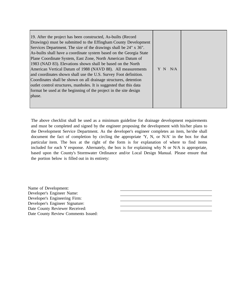| 19. After the project has been constructed, As-builts (Record       |     |     |
|---------------------------------------------------------------------|-----|-----|
| Drawings) must be submitted to the Effingham County Development     |     |     |
| Services Department. The size of the drawings shall be 24" x 36".   |     |     |
| As-builts shall have a coordinate system based on the Georgia State |     |     |
| Plane Coordinate System, East Zone, North American Datum of         |     |     |
| 1983 (NAD 83). Elevations shown shall be based on the North         |     |     |
| American Vertical Datum of 1988 (NAVD 88). All measurements         | Y N | N/A |
| and coordinates shown shall use the U.S. Survey Foot definition.    |     |     |
| Coordinates shall be shown on all drainage structures, detention    |     |     |
| outlet control structures, manholes. It is suggested that this data |     |     |
| format be used at the beginning of the project in the site design   |     |     |
| phase.                                                              |     |     |
|                                                                     |     |     |
|                                                                     |     |     |

The above checklist shall be used as a minimum guideline for drainage development requirements and must be completed and signed by the engineer proposing the development with his/her plans to the Development Service Department. As the developer's engineer completes an item, he/she shall document the fact of completion by circling the appropriate 'Y, N, or N/A' in the box for that particular item. The box at the right of the form is for explanation of where to find items included for each Y response. Alternately, the box is for explaining why N or N/A is appropriate, based upon the County's Stormwater Ordinance and/or Local Design Manual. Please ensure that the portion below is filled out in its entirety:

Name of Development: Developer's Engineer Name: Developer's Engineering Firm: Developer's Engineer Signature: Date County Reviewer Received: Date County Review Comments Issued: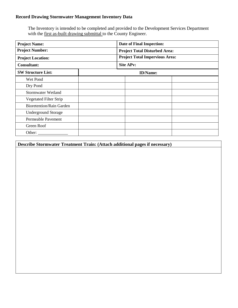The Inventory is intended to be completed and provided to the Development Services Department with the <u>first as-built drawing submittal</u> to the County Engineer.

| <b>Project Name:</b>                               | Date of Final Inspection: |                                       |  |  |
|----------------------------------------------------|---------------------------|---------------------------------------|--|--|
| <b>Project Number:</b><br><b>Project Location:</b> |                           | <b>Project Total Disturbed Area:</b>  |  |  |
|                                                    |                           | <b>Project Total Impervious Area:</b> |  |  |
| <b>Consultant:</b>                                 |                           | <b>Site APv:</b>                      |  |  |
| <b>SW Structure List:</b>                          | <b>ID/Name:</b>           |                                       |  |  |
| Wet Pond                                           |                           |                                       |  |  |
| Dry Pond                                           |                           |                                       |  |  |
| <b>Stormwater Wetland</b>                          |                           |                                       |  |  |
| <b>Vegetated Filter Strip</b>                      |                           |                                       |  |  |
| <b>Bioretention/Rain Garden</b>                    |                           |                                       |  |  |
| <b>Underground Storage</b>                         |                           |                                       |  |  |
| Permeable Pavement                                 |                           |                                       |  |  |
| Green Roof                                         |                           |                                       |  |  |
| Other:                                             |                           |                                       |  |  |

| Describe Stormwater Treatment Train: (Attach additional pages if necessary) |  |  |  |  |
|-----------------------------------------------------------------------------|--|--|--|--|
|                                                                             |  |  |  |  |
|                                                                             |  |  |  |  |
|                                                                             |  |  |  |  |
|                                                                             |  |  |  |  |
|                                                                             |  |  |  |  |
|                                                                             |  |  |  |  |
|                                                                             |  |  |  |  |
|                                                                             |  |  |  |  |
|                                                                             |  |  |  |  |
|                                                                             |  |  |  |  |
|                                                                             |  |  |  |  |
|                                                                             |  |  |  |  |
|                                                                             |  |  |  |  |
|                                                                             |  |  |  |  |
|                                                                             |  |  |  |  |
|                                                                             |  |  |  |  |
|                                                                             |  |  |  |  |
|                                                                             |  |  |  |  |
|                                                                             |  |  |  |  |
|                                                                             |  |  |  |  |
|                                                                             |  |  |  |  |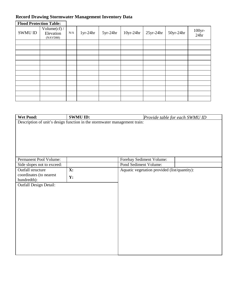| <b>Flood Protection Table:</b> |                                          |     |            |            |             |             |             |                   |
|--------------------------------|------------------------------------------|-----|------------|------------|-------------|-------------|-------------|-------------------|
| SWMU ID                        | Volume $(cf)$ /<br>Elevation<br>(NAVD88) | N/A | $1yr-24hr$ | $5yr-24hr$ | $10yr-24hr$ | $25yr-24hr$ | $50yr-24hr$ | $100$ yr-<br>24hr |
|                                |                                          |     |            |            |             |             |             |                   |
|                                |                                          |     |            |            |             |             |             |                   |
|                                |                                          |     |            |            |             |             |             |                   |
|                                |                                          |     |            |            |             |             |             |                   |
|                                |                                          |     |            |            |             |             |             |                   |
|                                |                                          |     |            |            |             |             |             |                   |
|                                |                                          |     |            |            |             |             |             |                   |
|                                |                                          |     |            |            |             |             |             |                   |
|                                |                                          |     |            |            |             |             |             |                   |
|                                |                                          |     |            |            |             |             |             |                   |
|                                |                                          |     |            |            |             |             |             |                   |
|                                |                                          |     |            |            |             |             |             |                   |

| <b>Wet Pond:</b>                                                          | <b>SWMU ID:</b> |                                              | Provide table for each SWMU ID |  |  |
|---------------------------------------------------------------------------|-----------------|----------------------------------------------|--------------------------------|--|--|
| Description of unit's design function in the stormwater management train: |                 |                                              |                                |  |  |
|                                                                           |                 |                                              |                                |  |  |
|                                                                           |                 |                                              |                                |  |  |
|                                                                           |                 |                                              |                                |  |  |
|                                                                           |                 |                                              |                                |  |  |
|                                                                           |                 |                                              |                                |  |  |
|                                                                           |                 |                                              |                                |  |  |
| Permanent Pool Volume:                                                    |                 | Forebay Sediment Volume:                     |                                |  |  |
| Side slopes not to exceed:                                                |                 | Pond Sediment Volume:                        |                                |  |  |
| Outfall structure                                                         | X:              | Aquatic vegetation provided (list/quantity): |                                |  |  |
| coordinates (to nearest                                                   | Y:              |                                              |                                |  |  |
| hundredth):                                                               |                 |                                              |                                |  |  |
| <b>Outfall Design Detail:</b>                                             |                 |                                              |                                |  |  |
|                                                                           |                 |                                              |                                |  |  |
|                                                                           |                 |                                              |                                |  |  |
|                                                                           |                 |                                              |                                |  |  |
|                                                                           |                 |                                              |                                |  |  |
|                                                                           |                 |                                              |                                |  |  |
|                                                                           |                 |                                              |                                |  |  |
|                                                                           |                 |                                              |                                |  |  |
|                                                                           |                 |                                              |                                |  |  |
|                                                                           |                 |                                              |                                |  |  |
|                                                                           |                 |                                              |                                |  |  |
|                                                                           |                 |                                              |                                |  |  |
|                                                                           |                 |                                              |                                |  |  |
|                                                                           |                 |                                              |                                |  |  |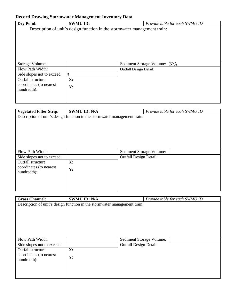| <b>Dry Pond:</b>           | <b>SWMU ID:</b>                                                           |                               | Provide table for each SWMU ID |  |  |  |  |  |
|----------------------------|---------------------------------------------------------------------------|-------------------------------|--------------------------------|--|--|--|--|--|
|                            | Description of unit's design function in the stormwater management train: |                               |                                |  |  |  |  |  |
|                            |                                                                           |                               |                                |  |  |  |  |  |
|                            |                                                                           |                               |                                |  |  |  |  |  |
|                            |                                                                           |                               |                                |  |  |  |  |  |
|                            |                                                                           |                               |                                |  |  |  |  |  |
|                            |                                                                           |                               |                                |  |  |  |  |  |
|                            |                                                                           |                               |                                |  |  |  |  |  |
| Storage Volume:            |                                                                           | Sediment Storage Volume: N/A  |                                |  |  |  |  |  |
| Flow Path Width:           |                                                                           | <b>Outfall Design Detail:</b> |                                |  |  |  |  |  |
| Side slopes not to exceed: | 3                                                                         |                               |                                |  |  |  |  |  |
| Outfall structure          | X:                                                                        |                               |                                |  |  |  |  |  |
| coordinates (to nearest    | Y:                                                                        |                               |                                |  |  |  |  |  |
| hundredth):                |                                                                           |                               |                                |  |  |  |  |  |
|                            |                                                                           |                               |                                |  |  |  |  |  |
|                            |                                                                           |                               |                                |  |  |  |  |  |
|                            |                                                                           |                               |                                |  |  |  |  |  |

| <b>Vegetated Filter Strip:</b>                                            | <b>SWMU ID: N/A</b> |                               |  | Provide table for each SWMU ID |  |  |
|---------------------------------------------------------------------------|---------------------|-------------------------------|--|--------------------------------|--|--|
| Description of unit's design function in the stormwater management train: |                     |                               |  |                                |  |  |
|                                                                           |                     |                               |  |                                |  |  |
|                                                                           |                     |                               |  |                                |  |  |
|                                                                           |                     |                               |  |                                |  |  |
|                                                                           |                     |                               |  |                                |  |  |
|                                                                           |                     |                               |  |                                |  |  |
|                                                                           |                     |                               |  |                                |  |  |
|                                                                           |                     |                               |  |                                |  |  |
| Flow Path Width:                                                          |                     | Sediment Storage Volume:      |  |                                |  |  |
| Side slopes not to exceed:                                                |                     | <b>Outfall Design Detail:</b> |  |                                |  |  |
| Outfall structure                                                         | X:                  |                               |  |                                |  |  |
| coordinates (to nearest                                                   |                     |                               |  |                                |  |  |
| hundredth):                                                               | Y:                  |                               |  |                                |  |  |
|                                                                           |                     |                               |  |                                |  |  |
|                                                                           |                     |                               |  |                                |  |  |
|                                                                           |                     |                               |  |                                |  |  |
|                                                                           |                     |                               |  |                                |  |  |

| <b>Grass Channel:</b>      | <b>SWMU ID: N/A</b>                                                       |                               | Provide table for each SWMU ID |
|----------------------------|---------------------------------------------------------------------------|-------------------------------|--------------------------------|
|                            | Description of unit's design function in the stormwater management train: |                               |                                |
|                            |                                                                           |                               |                                |
|                            |                                                                           |                               |                                |
|                            |                                                                           |                               |                                |
|                            |                                                                           |                               |                                |
|                            |                                                                           |                               |                                |
|                            |                                                                           |                               |                                |
| Flow Path Width:           |                                                                           | Sediment Storage Volume:      |                                |
| Side slopes not to exceed: |                                                                           | <b>Outfall Design Detail:</b> |                                |
| Outfall structure          | X:                                                                        |                               |                                |
| coordinates (to nearest    | Y:                                                                        |                               |                                |
| hundredth):                |                                                                           |                               |                                |
|                            |                                                                           |                               |                                |
|                            |                                                                           |                               |                                |
|                            |                                                                           |                               |                                |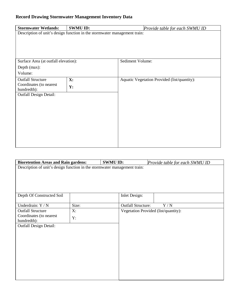| <b>Stormwater Wetlands:</b>                                               | <b>SWMU ID:</b> | Provide table for each SWMU ID               |  |  |  |  |
|---------------------------------------------------------------------------|-----------------|----------------------------------------------|--|--|--|--|
| Description of unit's design function in the stormwater management train: |                 |                                              |  |  |  |  |
|                                                                           |                 |                                              |  |  |  |  |
|                                                                           |                 |                                              |  |  |  |  |
|                                                                           |                 |                                              |  |  |  |  |
|                                                                           |                 |                                              |  |  |  |  |
| Surface Area (at outfall elevation):                                      |                 | Sediment Volume:                             |  |  |  |  |
| Depth (max):                                                              |                 |                                              |  |  |  |  |
| Volume:                                                                   |                 |                                              |  |  |  |  |
| <b>Outfall Structure</b>                                                  | $\mathbf{X}$ :  | Aquatic Vegetation Provided (list/quantity): |  |  |  |  |
| Coordinates (to nearest                                                   | Y:              |                                              |  |  |  |  |
| hundredth):                                                               |                 |                                              |  |  |  |  |
| <b>Outfall Design Detail:</b>                                             |                 |                                              |  |  |  |  |
|                                                                           |                 |                                              |  |  |  |  |
|                                                                           |                 |                                              |  |  |  |  |
|                                                                           |                 |                                              |  |  |  |  |
|                                                                           |                 |                                              |  |  |  |  |
|                                                                           |                 |                                              |  |  |  |  |
|                                                                           |                 |                                              |  |  |  |  |
|                                                                           |                 |                                              |  |  |  |  |
|                                                                           |                 |                                              |  |  |  |  |
|                                                                           |                 |                                              |  |  |  |  |

| <b>Bioretention Areas and Rain gardens:</b>                               |       | <b>SWMU ID:</b>           |                                      |  |  |  |
|---------------------------------------------------------------------------|-------|---------------------------|--------------------------------------|--|--|--|
|                                                                           |       |                           | Provide table for each SWMU ID       |  |  |  |
| Description of unit's design function in the stormwater management train: |       |                           |                                      |  |  |  |
|                                                                           |       |                           |                                      |  |  |  |
|                                                                           |       |                           |                                      |  |  |  |
|                                                                           |       |                           |                                      |  |  |  |
|                                                                           |       |                           |                                      |  |  |  |
|                                                                           |       |                           |                                      |  |  |  |
| Depth Of Constructed Soil                                                 |       | Inlet Design:             |                                      |  |  |  |
|                                                                           |       |                           |                                      |  |  |  |
| Underdrain: Y / N                                                         | Size: | <b>Outfall Structure:</b> | Y/N                                  |  |  |  |
| <b>Outfall Structure</b>                                                  | X:    |                           | Vegetation Provided (list/quantity): |  |  |  |
| Coordinates (to nearest                                                   |       |                           |                                      |  |  |  |
| hundredth):                                                               | Y:    |                           |                                      |  |  |  |
| <b>Outfall Design Detail:</b>                                             |       |                           |                                      |  |  |  |
|                                                                           |       |                           |                                      |  |  |  |
|                                                                           |       |                           |                                      |  |  |  |
|                                                                           |       |                           |                                      |  |  |  |
|                                                                           |       |                           |                                      |  |  |  |
|                                                                           |       |                           |                                      |  |  |  |
|                                                                           |       |                           |                                      |  |  |  |
|                                                                           |       |                           |                                      |  |  |  |
|                                                                           |       |                           |                                      |  |  |  |
|                                                                           |       |                           |                                      |  |  |  |
|                                                                           |       |                           |                                      |  |  |  |
|                                                                           |       |                           |                                      |  |  |  |
|                                                                           |       |                           |                                      |  |  |  |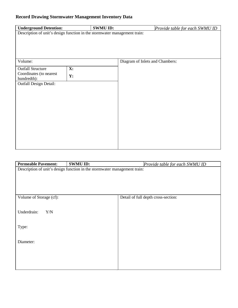| <b>Underground Detention:</b>                                             |    | <b>SWMU ID:</b> | Provide table for each SWMU ID  |  |  |  |  |  |
|---------------------------------------------------------------------------|----|-----------------|---------------------------------|--|--|--|--|--|
| Description of unit's design function in the stormwater management train: |    |                 |                                 |  |  |  |  |  |
|                                                                           |    |                 |                                 |  |  |  |  |  |
|                                                                           |    |                 |                                 |  |  |  |  |  |
|                                                                           |    |                 |                                 |  |  |  |  |  |
|                                                                           |    |                 |                                 |  |  |  |  |  |
| Volume:                                                                   |    |                 | Diagram of Inlets and Chambers: |  |  |  |  |  |
|                                                                           |    |                 |                                 |  |  |  |  |  |
| <b>Outfall Structure</b><br>Coordinates (to nearest                       | X: |                 |                                 |  |  |  |  |  |
| hundredth):                                                               | Y: |                 |                                 |  |  |  |  |  |
| Outfall Design Detail:                                                    |    |                 |                                 |  |  |  |  |  |
|                                                                           |    |                 |                                 |  |  |  |  |  |
|                                                                           |    |                 |                                 |  |  |  |  |  |
|                                                                           |    |                 |                                 |  |  |  |  |  |
|                                                                           |    |                 |                                 |  |  |  |  |  |
|                                                                           |    |                 |                                 |  |  |  |  |  |
|                                                                           |    |                 |                                 |  |  |  |  |  |
|                                                                           |    |                 |                                 |  |  |  |  |  |
|                                                                           |    |                 |                                 |  |  |  |  |  |
|                                                                           |    |                 |                                 |  |  |  |  |  |
|                                                                           |    |                 |                                 |  |  |  |  |  |
|                                                                           |    |                 |                                 |  |  |  |  |  |
|                                                                           |    |                 |                                 |  |  |  |  |  |

| <b>Permeable Pavement:</b>                                                | <b>SWMU ID:</b> |  | Provide table for each SWMU ID      |  |
|---------------------------------------------------------------------------|-----------------|--|-------------------------------------|--|
| Description of unit's design function in the stormwater management train: |                 |  |                                     |  |
|                                                                           |                 |  |                                     |  |
|                                                                           |                 |  |                                     |  |
|                                                                           |                 |  |                                     |  |
|                                                                           |                 |  |                                     |  |
| Volume of Storage (cf):                                                   |                 |  | Detail of full depth cross-section: |  |
|                                                                           |                 |  |                                     |  |
| Underdrain:<br>Y/N                                                        |                 |  |                                     |  |
|                                                                           |                 |  |                                     |  |
|                                                                           |                 |  |                                     |  |
| Type:                                                                     |                 |  |                                     |  |
|                                                                           |                 |  |                                     |  |
| Diameter:                                                                 |                 |  |                                     |  |
|                                                                           |                 |  |                                     |  |
|                                                                           |                 |  |                                     |  |
|                                                                           |                 |  |                                     |  |
|                                                                           |                 |  |                                     |  |
|                                                                           |                 |  |                                     |  |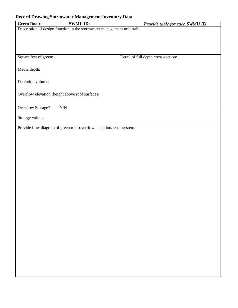| <b>Green Roof::</b>                             | <b>SWMU ID:</b>                                                         | Provide table for each SWMU ID      |
|-------------------------------------------------|-------------------------------------------------------------------------|-------------------------------------|
|                                                 | Description of design function in the stormwater management unit train: |                                     |
|                                                 |                                                                         |                                     |
|                                                 |                                                                         |                                     |
|                                                 |                                                                         |                                     |
|                                                 |                                                                         |                                     |
| Square feet of green:                           |                                                                         | Detail of full depth cross-section: |
|                                                 |                                                                         |                                     |
| Media depth:                                    |                                                                         |                                     |
|                                                 |                                                                         |                                     |
|                                                 |                                                                         |                                     |
| Detention volume:                               |                                                                         |                                     |
|                                                 |                                                                         |                                     |
| Overflow elevation (height above roof surface): |                                                                         |                                     |
|                                                 |                                                                         |                                     |
|                                                 |                                                                         |                                     |
| <b>Overflow Storage?</b>                        | ${\rm Y/N}$                                                             |                                     |
|                                                 |                                                                         |                                     |
| Storage volume:                                 |                                                                         |                                     |
|                                                 | Provide flow diagram of green roof overflow detention/reuse system:     |                                     |
|                                                 |                                                                         |                                     |
|                                                 |                                                                         |                                     |
|                                                 |                                                                         |                                     |
|                                                 |                                                                         |                                     |
|                                                 |                                                                         |                                     |
|                                                 |                                                                         |                                     |
|                                                 |                                                                         |                                     |
|                                                 |                                                                         |                                     |
|                                                 |                                                                         |                                     |
|                                                 |                                                                         |                                     |
|                                                 |                                                                         |                                     |
|                                                 |                                                                         |                                     |
|                                                 |                                                                         |                                     |
|                                                 |                                                                         |                                     |
|                                                 |                                                                         |                                     |
|                                                 |                                                                         |                                     |
|                                                 |                                                                         |                                     |
|                                                 |                                                                         |                                     |
|                                                 |                                                                         |                                     |
|                                                 |                                                                         |                                     |
|                                                 |                                                                         |                                     |
|                                                 |                                                                         |                                     |
|                                                 |                                                                         |                                     |
|                                                 |                                                                         |                                     |
|                                                 |                                                                         |                                     |
|                                                 |                                                                         |                                     |
|                                                 |                                                                         |                                     |
|                                                 |                                                                         |                                     |
|                                                 |                                                                         |                                     |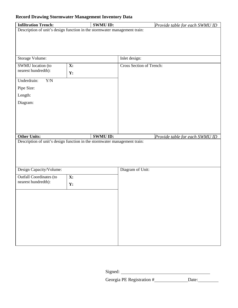| <b>Infiltration Trench:</b>                                               | <b>SWMU ID:</b> | Provide table for each SWMU ID |  |  |
|---------------------------------------------------------------------------|-----------------|--------------------------------|--|--|
| Description of unit's design function in the stormwater management train: |                 |                                |  |  |
|                                                                           |                 |                                |  |  |
|                                                                           |                 |                                |  |  |
|                                                                           |                 |                                |  |  |
| Storage Volume:                                                           |                 | Inlet design:                  |  |  |
| SWMU location (to<br>nearest hundredth):                                  | X:              | Cross Section of Trench:       |  |  |
|                                                                           | Y:              |                                |  |  |
| Underdrain:<br>Y/N                                                        |                 |                                |  |  |
| Pipe Size:                                                                |                 |                                |  |  |
| Length:                                                                   |                 |                                |  |  |
| Diagram:                                                                  |                 |                                |  |  |
|                                                                           |                 |                                |  |  |
|                                                                           |                 |                                |  |  |
|                                                                           |                 |                                |  |  |
|                                                                           |                 |                                |  |  |
| <b>Other Units:</b>                                                       | <b>SWMU ID:</b> | Provide table for each SWMU ID |  |  |
| Description of unit's design function in the stormwater management train: |                 |                                |  |  |
|                                                                           |                 |                                |  |  |
|                                                                           |                 |                                |  |  |
| Design Capacity/Volume:                                                   |                 | Diagram of Unit:               |  |  |
| <b>Outfall Coordinates (to</b>                                            | X:              |                                |  |  |
| nearest hundredth):                                                       | Y:              |                                |  |  |
|                                                                           |                 |                                |  |  |
|                                                                           |                 |                                |  |  |
|                                                                           |                 |                                |  |  |
|                                                                           |                 |                                |  |  |
|                                                                           |                 |                                |  |  |
|                                                                           |                 |                                |  |  |
|                                                                           |                 |                                |  |  |
|                                                                           |                 |                                |  |  |
|                                                                           |                 |                                |  |  |

Georgia PE Registration # Date: